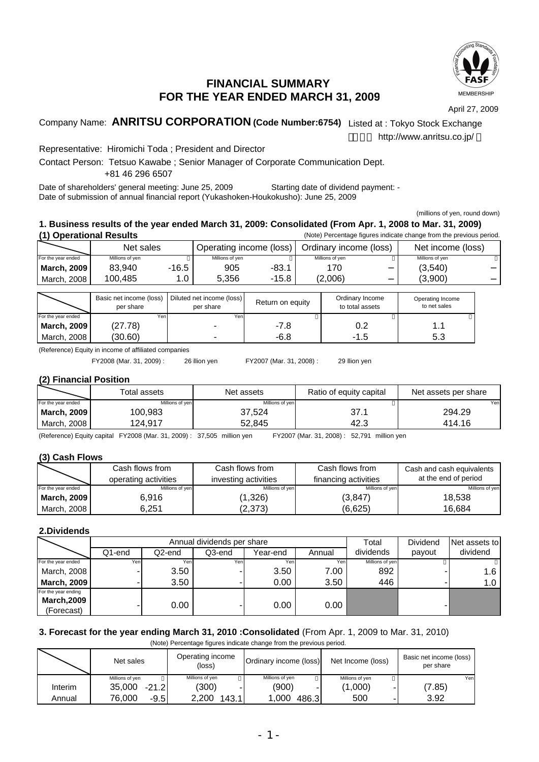

# **FINANCIAL SUMMARY FOR THE YEAR ENDED MARCH 31, 2009**

April 27, 2009

# Company Name: **ANRITSU CORPORATION (Code Number:6754)** Listed at : Tokyo Stock Exchange

http://www.anritsu.co.jp/

Representative: Hiromichi Toda ; President and Director

Contact Person: Tetsuo Kawabe ; Senior Manager of Corporate Communication Dept. +81 46 296 6507

Date of shareholders' general meeting: June 25, 2009 Starting date of dividend payment: - Date of submission of annual financial report (Yukashoken-Houkokusho): June 25, 2009

(millions of yen, round down)

### **1. Business results of the year ended March 31, 2009: Consolidated (From Apr. 1, 2008 to Mar. 31, 2009) (1) Operational Results** (Note) Percentage figures indicate change from the previous period.

|                    | <b>ODGIALIOHAL RESURS</b><br>thold) I creditiage induced indicate change from the previous period. |         |                         |         |                        |                   |
|--------------------|----------------------------------------------------------------------------------------------------|---------|-------------------------|---------|------------------------|-------------------|
|                    | Net sales                                                                                          |         | Operating income (loss) |         | Ordinary income (loss) | Net income (loss) |
| For the year ended | Millions of yen                                                                                    |         | Millions of ven         |         | Millions of ven        | Millions of ven   |
| <b>March, 2009</b> | 83.940                                                                                             | $-16.5$ | 905                     | -83.1   | 170                    | (3,540)           |
| March, 2008        | 100.485                                                                                            | י 0.    | 5.356                   | $-15.8$ | (2,006)                | (3,900)           |

|                    | Basic net income (loss)<br>per share | Diluted net income (loss)<br>per share | Return on equity | Ordinary Income<br>to total assets | Operating Income<br>to net sales |
|--------------------|--------------------------------------|----------------------------------------|------------------|------------------------------------|----------------------------------|
| For the year ended | Yenl                                 | Yeni                                   |                  |                                    |                                  |
| <b>March, 2009</b> | (27.78)                              | ۰                                      | -7.8             | 0.2                                |                                  |
| March, 2008        | (30.60)                              |                                        | $-6.8$           | -1.5                               | 5.3                              |

(Reference) Equity in income of affiliated companies

FY2008 (Mar. 31, 2009) : 26illion yen FY2007 (Mar. 31, 2008) : 29illion yen

### **(2) Financial Position**

|                    | Total assets    | Net assets      | Ratio of equity capital | Net assets per share |
|--------------------|-----------------|-----------------|-------------------------|----------------------|
| For the year ended | Millions of yen | Millions of yen |                         | Yen                  |
| <b>March, 2009</b> | 100.983         | 37,524          | 37.1                    | 294.29               |
| March, 2008        | 124.917         | 52.845          | 42.3                    | 414.16               |

(Reference) Equity capital FY2008 (Mar. 31, 2009) : 37,505 million yen FY2007 (Mar. 31, 2008) : 52,791 million yen

### **(3) Cash Flows**

|                    | Cash flows from      | Cash flows from      | Cash flows from      | Cash and cash equivalents |
|--------------------|----------------------|----------------------|----------------------|---------------------------|
|                    | operating activities | investing activities | financing activities | at the end of period      |
| For the year ended | Millions of yen      | Millions of yen      | Millions of yen      | Millions of yen           |
| <b>March, 2009</b> | 6.916                | (1,326)              | (3, 847)             | 18,538                    |
| March. 2008        | 6.251                | (2,373)              | (6,625)              | 16.684                    |

## **2.Dividends**

|                     |        | Annual dividends per share |        |          |        |                 | Dividend | Net assets to |
|---------------------|--------|----------------------------|--------|----------|--------|-----------------|----------|---------------|
|                     | Q1-end | Q2-end                     | Q3-end | Year-end | Annual | dividends       | payout   | dividend      |
| For the year ended  | Yen    | Yenl                       | Yen    | Yen      | Yen.   | Millions of yen |          |               |
| March, 2008         |        | 3.50                       |        | 3.50     | 7.00   | 892             |          | 1.6           |
| <b>March, 2009</b>  |        | 3.50                       |        | $0.00\,$ | 3.50   | 446             |          | 1.0           |
| For the year ending |        |                            |        |          |        |                 |          |               |
| <b>March, 2009</b>  |        | 0.00                       |        | 0.00     | 0.00   |                 |          |               |
| (Forecast)          |        |                            |        |          |        |                 |          |               |

## **3. Forecast for the year ending March 31, 2010 :Consolidated** (From Apr. 1, 2009 to Mar. 31, 2010)

(Note) Percentage figures indicate change from the previous period.

|         | Net sales         | Operating income<br>(loss) | Ordinary income (loss) | Net Income (loss) | Basic net income (loss)<br>per share |
|---------|-------------------|----------------------------|------------------------|-------------------|--------------------------------------|
|         | Millions of yen   | Millions of yen            | Millions of yen        | Millions of yen   | Yen                                  |
| Interim | 35,000<br>$-21.2$ | (300)                      | (900)                  | (1,000)           | (7.85)                               |
| Annual  | 76.000<br>$-9.5$  | 2.200<br>143.1             | 1,000<br>486.3         | 500               | 3.92                                 |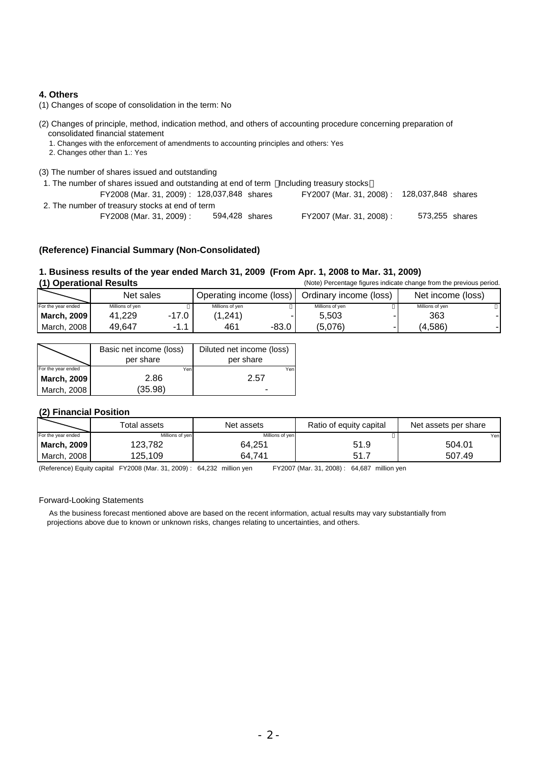## **4. Others**

- (1) Changes of scope of consolidation in the term: No
- (2) Changes of principle, method, indication method, and others of accounting procedure concerning preparation of consolidated financial statement
	- 1. Changes with the enforcement of amendments to accounting principles and others: Yes
	- 2. Changes other than 1.: Yes
- (3) The number of shares issued and outstanding
- 1. The number of shares issued and outstanding at end of term Including treasury stocks FY2008 (Mar. 31, 2009) : 128,037,848 shares FY2007 (Mar. 31, 2008) : 128,037,848 shares 2. The number of treasury stocks at end of term FY2008 (Mar. 31, 2009) : 594,428 shares FY2007 (Mar. 31, 2008) : 594,428 FY2008 (Mar. 31, 2009): 128,037,848 shares 573,255

### **(Reference) Financial Summary (Non-Consolidated)**

## **1. Business results of the year ended March 31, 2009 (From Apr. 1, 2008 to Mar. 31, 2009)**

| (1) Operational Results |                 |           |                         |       |                        | (Note) Percentage figures indicate change from the previous period. |  |
|-------------------------|-----------------|-----------|-------------------------|-------|------------------------|---------------------------------------------------------------------|--|
|                         | Net sales       |           | Operating income (loss) |       | Ordinary income (loss) | Net income (loss)                                                   |  |
| For the year ended      | Millions of yen |           | Millions of ven         |       | Millions of ven        | Millions of ven                                                     |  |
| March, 2009             | 41.229          | $-17.0$ J | (1.241)                 |       | 5.503                  | 363                                                                 |  |
| March, 2008             | 49.647          | $-1.1$    | 461                     | -83.0 | (5.076)                | (4.586)                                                             |  |

|                    | Basic net income (loss)<br>per share | Diluted net income (loss)<br>per share |
|--------------------|--------------------------------------|----------------------------------------|
| For the year ended | Yenl                                 | Yen                                    |
| March, 2009        | 2.86                                 | 2.57                                   |
| March, 2008        | (35.98)                              | -                                      |

### **(2) Financial Position**

|                    | Total assets    | Net assets      | Ratio of equity capital | Net assets per share |
|--------------------|-----------------|-----------------|-------------------------|----------------------|
| For the year ended | Millions of yen | Millions of yen |                         | Yen                  |
| March, 2009        | 123.782         | 64,251          | 51.9                    | 504.01               |
| March, 2008        | 125.109         | 64.741          | 51.7                    | 507.49               |

(Reference) Equity capital FY2008 (Mar. 31, 2009) : 64,232 million yen FY2007 (Mar. 31, 2008) : 64,687 million yen

### Forward-Looking Statements

 As the business forecast mentioned above are based on the recent information, actual results may vary substantially from projections above due to known or unknown risks, changes relating to uncertainties, and others.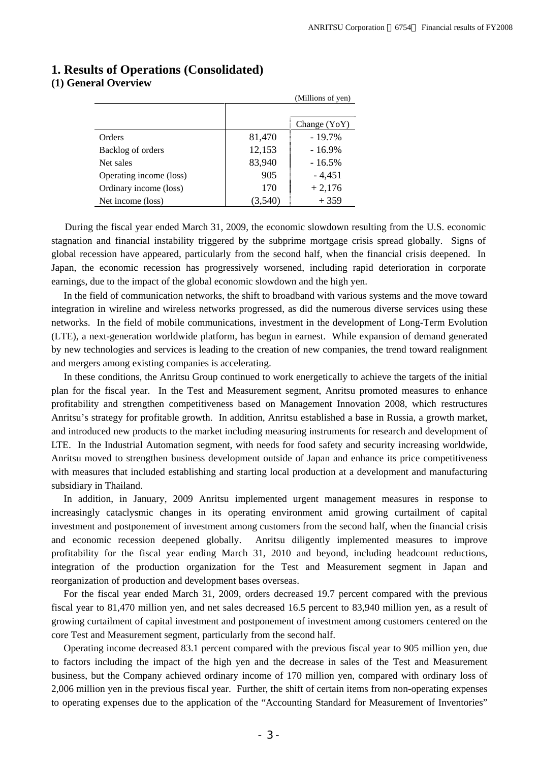|                         |        | (Millions of yen) |
|-------------------------|--------|-------------------|
|                         |        |                   |
|                         |        | Change $(YoY)$    |
| Orders                  | 81,470 | $-19.7\%$         |
| Backlog of orders       | 12,153 | $-16.9%$          |
| Net sales               | 83,940 | $-16.5\%$         |
| Operating income (loss) | 905    | $-4,451$          |
| Ordinary income (loss)  | 170    | $+2,176$          |
| Net income (loss)       |        | $+359$            |

# **1. Results of Operations (Consolidated) (1) General Overview**

During the fiscal year ended March 31, 2009, the economic slowdown resulting from the U.S. economic stagnation and financial instability triggered by the subprime mortgage crisis spread globally. Signs of global recession have appeared, particularly from the second half, when the financial crisis deepened. In Japan, the economic recession has progressively worsened, including rapid deterioration in corporate earnings, due to the impact of the global economic slowdown and the high yen.

In the field of communication networks, the shift to broadband with various systems and the move toward integration in wireline and wireless networks progressed, as did the numerous diverse services using these networks. In the field of mobile communications, investment in the development of Long-Term Evolution (LTE), a next-generation worldwide platform, has begun in earnest. While expansion of demand generated by new technologies and services is leading to the creation of new companies, the trend toward realignment and mergers among existing companies is accelerating.

In these conditions, the Anritsu Group continued to work energetically to achieve the targets of the initial plan for the fiscal year. In the Test and Measurement segment, Anritsu promoted measures to enhance profitability and strengthen competitiveness based on Management Innovation 2008, which restructures Anritsu's strategy for profitable growth. In addition, Anritsu established a base in Russia, a growth market, and introduced new products to the market including measuring instruments for research and development of LTE. In the Industrial Automation segment, with needs for food safety and security increasing worldwide, Anritsu moved to strengthen business development outside of Japan and enhance its price competitiveness with measures that included establishing and starting local production at a development and manufacturing subsidiary in Thailand.

In addition, in January, 2009 Anritsu implemented urgent management measures in response to increasingly cataclysmic changes in its operating environment amid growing curtailment of capital investment and postponement of investment among customers from the second half, when the financial crisis and economic recession deepened globally. Anritsu diligently implemented measures to improve profitability for the fiscal year ending March 31, 2010 and beyond, including headcount reductions, integration of the production organization for the Test and Measurement segment in Japan and reorganization of production and development bases overseas.

For the fiscal year ended March 31, 2009, orders decreased 19.7 percent compared with the previous fiscal year to 81,470 million yen, and net sales decreased 16.5 percent to 83,940 million yen, as a result of growing curtailment of capital investment and postponement of investment among customers centered on the core Test and Measurement segment, particularly from the second half.

Operating income decreased 83.1 percent compared with the previous fiscal year to 905 million yen, due to factors including the impact of the high yen and the decrease in sales of the Test and Measurement business, but the Company achieved ordinary income of 170 million yen, compared with ordinary loss of 2,006 million yen in the previous fiscal year. Further, the shift of certain items from non-operating expenses to operating expenses due to the application of the "Accounting Standard for Measurement of Inventories"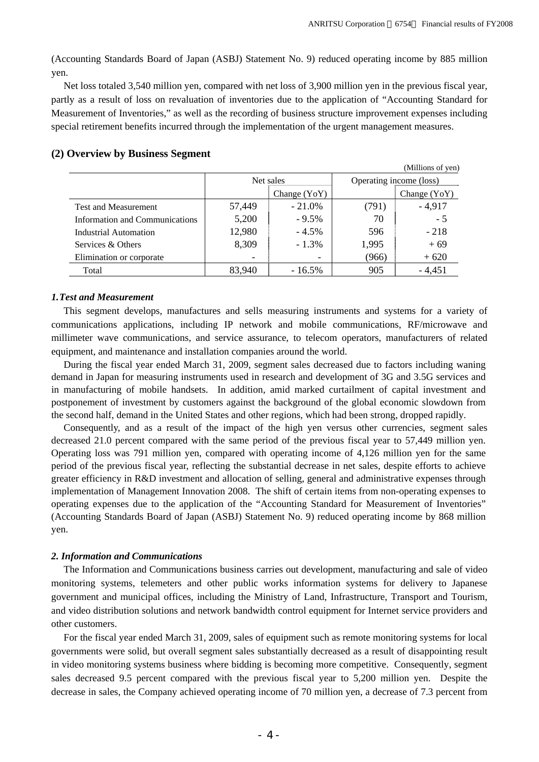(Accounting Standards Board of Japan (ASBJ) Statement No. 9) reduced operating income by 885 million yen.

Net loss totaled 3,540 million yen, compared with net loss of 3,900 million yen in the previous fiscal year, partly as a result of loss on revaluation of inventories due to the application of "Accounting Standard for Measurement of Inventories," as well as the recording of business structure improvement expenses including special retirement benefits incurred through the implementation of the urgent management measures.

|                                |        |                |                         | (Millions of yen) |  |
|--------------------------------|--------|----------------|-------------------------|-------------------|--|
|                                |        | Net sales      | Operating income (loss) |                   |  |
|                                |        | Change $(YoY)$ |                         | Change $(YoY)$    |  |
| <b>Test and Measurement</b>    | 57,449 | $-21.0\%$      | (791)                   | $-4,917$          |  |
| Information and Communications | 5,200  | $-9.5%$        | 70                      | $-5$              |  |
| Industrial Automation          | 12,980 | $-4.5%$        | 596                     | $-218$            |  |
| Services & Others              | 8,309  | $-1.3\%$       | 1,995                   | $+69$             |  |
| Elimination or corporate       |        | -              | (966)                   | $+620$            |  |
| Total                          | 83,940 | $-16.5\%$      | 905                     | $-4,451$          |  |

## **(2) Overview by Business Segment**

### *1. Test and Measurement*

This segment develops, manufactures and sells measuring instruments and systems for a variety of communications applications, including IP network and mobile communications, RF/microwave and millimeter wave communications, and service assurance, to telecom operators, manufacturers of related equipment, and maintenance and installation companies around the world.

During the fiscal year ended March 31, 2009, segment sales decreased due to factors including waning demand in Japan for measuring instruments used in research and development of 3G and 3.5G services and in manufacturing of mobile handsets. In addition, amid marked curtailment of capital investment and postponement of investment by customers against the background of the global economic slowdown from the second half, demand in the United States and other regions, which had been strong, dropped rapidly.

Consequently, and as a result of the impact of the high yen versus other currencies, segment sales decreased 21.0 percent compared with the same period of the previous fiscal year to 57,449 million yen. Operating loss was 791 million yen, compared with operating income of 4,126 million yen for the same period of the previous fiscal year, reflecting the substantial decrease in net sales, despite efforts to achieve greater efficiency in R&D investment and allocation of selling, general and administrative expenses through implementation of Management Innovation 2008. The shift of certain items from non-operating expenses to operating expenses due to the application of the "Accounting Standard for Measurement of Inventories" (Accounting Standards Board of Japan (ASBJ) Statement No. 9) reduced operating income by 868 million yen.

### *2. Information and Communications*

The Information and Communications business carries out development, manufacturing and sale of video monitoring systems, telemeters and other public works information systems for delivery to Japanese government and municipal offices, including the Ministry of Land, Infrastructure, Transport and Tourism, and video distribution solutions and network bandwidth control equipment for Internet service providers and other customers.

For the fiscal year ended March 31, 2009, sales of equipment such as remote monitoring systems for local governments were solid, but overall segment sales substantially decreased as a result of disappointing result in video monitoring systems business where bidding is becoming more competitive. Consequently, segment sales decreased 9.5 percent compared with the previous fiscal year to 5,200 million yen. Despite the decrease in sales, the Company achieved operating income of 70 million yen, a decrease of 7.3 percent from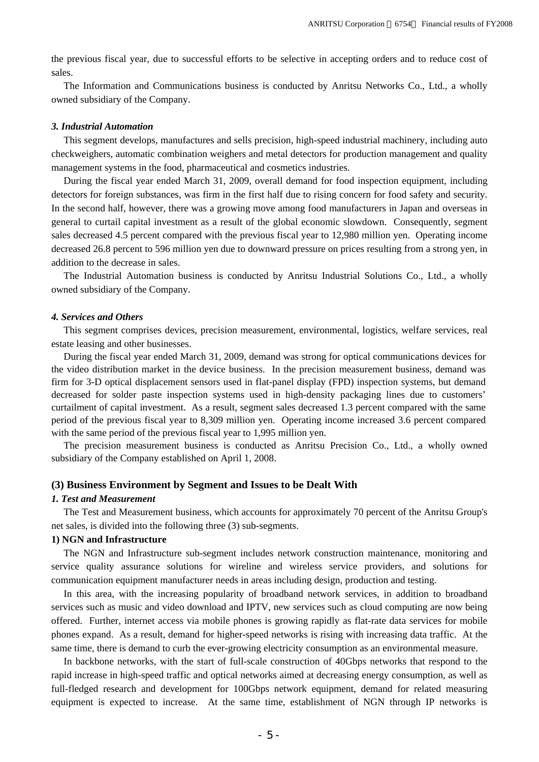the previous fiscal year, due to successful efforts to be selective in accepting orders and to reduce cost of sales.

The Information and Communications business is conducted by Anritsu Networks Co., Ltd., a wholly owned subsidiary of the Company.

### *3. Industrial Automation*

This segment develops, manufactures and sells precision, high-speed industrial machinery, including auto checkweighers, automatic combination weighers and metal detectors for production management and quality management systems in the food, pharmaceutical and cosmetics industries.

During the fiscal year ended March 31, 2009, overall demand for food inspection equipment, including detectors for foreign substances, was firm in the first half due to rising concern for food safety and security. In the second half, however, there was a growing move among food manufacturers in Japan and overseas in general to curtail capital investment as a result of the global economic slowdown. Consequently, segment sales decreased 4.5 percent compared with the previous fiscal year to 12,980 million yen. Operating income decreased 26.8 percent to 596 million yen due to downward pressure on prices resulting from a strong yen, in addition to the decrease in sales.

The Industrial Automation business is conducted by Anritsu Industrial Solutions Co., Ltd., a wholly owned subsidiary of the Company.

### *4. Services and Others*

This segment comprises devices, precision measurement, environmental, logistics, welfare services, real estate leasing and other businesses.

During the fiscal year ended March 31, 2009, demand was strong for optical communications devices for the video distribution market in the device business. In the precision measurement business, demand was firm for 3-D optical displacement sensors used in flat-panel display (FPD) inspection systems, but demand decreased for solder paste inspection systems used in high-density packaging lines due to customers' curtailment of capital investment. As a result, segment sales decreased 1.3 percent compared with the same period of the previous fiscal year to 8,309 million yen. Operating income increased 3.6 percent compared with the same period of the previous fiscal year to 1,995 million yen.

The precision measurement business is conducted as Anritsu Precision Co., Ltd., a wholly owned subsidiary of the Company established on April 1, 2008.

### **(3) Business Environment by Segment and Issues to be Dealt With**

### *1. Test and Measurement*

The Test and Measurement business, which accounts for approximately 70 percent of the Anritsu Group's net sales, is divided into the following three (3) sub-segments.

## **1) NGN and Infrastructure**

The NGN and Infrastructure sub-segment includes network construction maintenance, monitoring and service quality assurance solutions for wireline and wireless service providers, and solutions for communication equipment manufacturer needs in areas including design, production and testing.

In this area, with the increasing popularity of broadband network services, in addition to broadband services such as music and video download and IPTV, new services such as cloud computing are now being offered. Further, internet access via mobile phones is growing rapidly as flat-rate data services for mobile phones expand. As a result, demand for higher-speed networks is rising with increasing data traffic. At the same time, there is demand to curb the ever-growing electricity consumption as an environmental measure.

In backbone networks, with the start of full-scale construction of 40Gbps networks that respond to the rapid increase in high-speed traffic and optical networks aimed at decreasing energy consumption, as well as full-fledged research and development for 100Gbps network equipment, demand for related measuring equipment is expected to increase. At the same time, establishment of NGN through IP networks is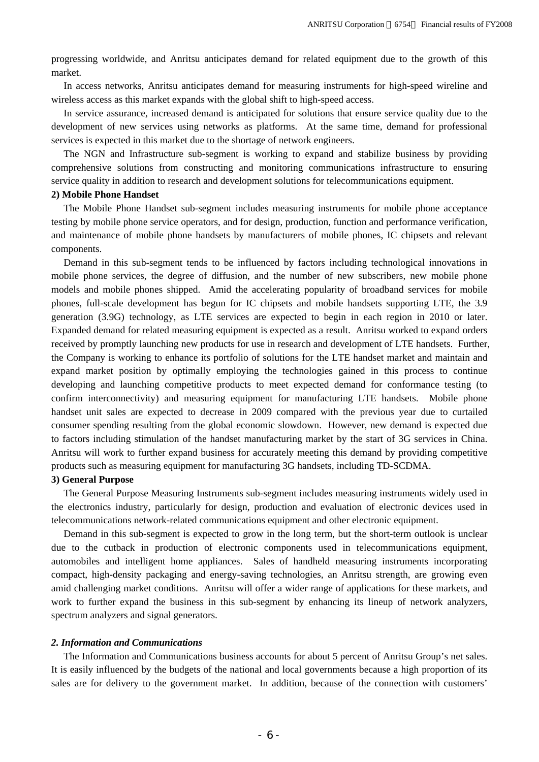progressing worldwide, and Anritsu anticipates demand for related equipment due to the growth of this market.

In access networks, Anritsu anticipates demand for measuring instruments for high-speed wireline and wireless access as this market expands with the global shift to high-speed access.

In service assurance, increased demand is anticipated for solutions that ensure service quality due to the development of new services using networks as platforms. At the same time, demand for professional services is expected in this market due to the shortage of network engineers.

The NGN and Infrastructure sub-segment is working to expand and stabilize business by providing comprehensive solutions from constructing and monitoring communications infrastructure to ensuring service quality in addition to research and development solutions for telecommunications equipment.

## **2) Mobile Phone Handset**

The Mobile Phone Handset sub-segment includes measuring instruments for mobile phone acceptance testing by mobile phone service operators, and for design, production, function and performance verification, and maintenance of mobile phone handsets by manufacturers of mobile phones, IC chipsets and relevant components.

Demand in this sub-segment tends to be influenced by factors including technological innovations in mobile phone services, the degree of diffusion, and the number of new subscribers, new mobile phone models and mobile phones shipped. Amid the accelerating popularity of broadband services for mobile phones, full-scale development has begun for IC chipsets and mobile handsets supporting LTE, the 3.9 generation (3.9G) technology, as LTE services are expected to begin in each region in 2010 or later. Expanded demand for related measuring equipment is expected as a result. Anritsu worked to expand orders received by promptly launching new products for use in research and development of LTE handsets. Further, the Company is working to enhance its portfolio of solutions for the LTE handset market and maintain and expand market position by optimally employing the technologies gained in this process to continue developing and launching competitive products to meet expected demand for conformance testing (to confirm interconnectivity) and measuring equipment for manufacturing LTE handsets. Mobile phone handset unit sales are expected to decrease in 2009 compared with the previous year due to curtailed consumer spending resulting from the global economic slowdown. However, new demand is expected due to factors including stimulation of the handset manufacturing market by the start of 3G services in China. Anritsu will work to further expand business for accurately meeting this demand by providing competitive products such as measuring equipment for manufacturing 3G handsets, including TD-SCDMA.

### **3) General Purpose**

The General Purpose Measuring Instruments sub-segment includes measuring instruments widely used in the electronics industry, particularly for design, production and evaluation of electronic devices used in telecommunications network-related communications equipment and other electronic equipment.

Demand in this sub-segment is expected to grow in the long term, but the short-term outlook is unclear due to the cutback in production of electronic components used in telecommunications equipment, automobiles and intelligent home appliances. Sales of handheld measuring instruments incorporating compact, high-density packaging and energy-saving technologies, an Anritsu strength, are growing even amid challenging market conditions. Anritsu will offer a wider range of applications for these markets, and work to further expand the business in this sub-segment by enhancing its lineup of network analyzers, spectrum analyzers and signal generators.

### *2. Information and Communications*

The Information and Communications business accounts for about 5 percent of Anritsu Group's net sales. It is easily influenced by the budgets of the national and local governments because a high proportion of its sales are for delivery to the government market. In addition, because of the connection with customers'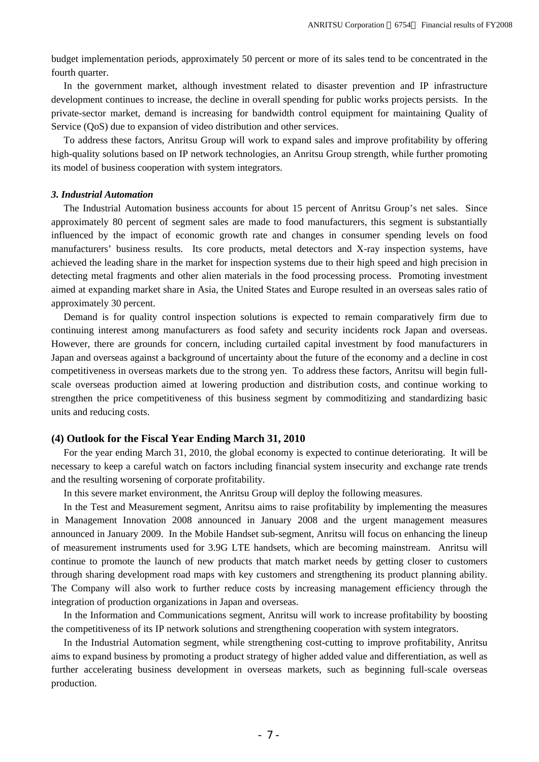budget implementation periods, approximately 50 percent or more of its sales tend to be concentrated in the fourth quarter.

In the government market, although investment related to disaster prevention and IP infrastructure development continues to increase, the decline in overall spending for public works projects persists. In the private-sector market, demand is increasing for bandwidth control equipment for maintaining Quality of Service (QoS) due to expansion of video distribution and other services.

To address these factors, Anritsu Group will work to expand sales and improve profitability by offering high-quality solutions based on IP network technologies, an Anritsu Group strength, while further promoting its model of business cooperation with system integrators.

### *3. Industrial Automation*

The Industrial Automation business accounts for about 15 percent of Anritsu Group's net sales. Since approximately 80 percent of segment sales are made to food manufacturers, this segment is substantially influenced by the impact of economic growth rate and changes in consumer spending levels on food manufacturers' business results. Its core products, metal detectors and X-ray inspection systems, have achieved the leading share in the market for inspection systems due to their high speed and high precision in detecting metal fragments and other alien materials in the food processing process. Promoting investment aimed at expanding market share in Asia, the United States and Europe resulted in an overseas sales ratio of approximately 30 percent.

Demand is for quality control inspection solutions is expected to remain comparatively firm due to continuing interest among manufacturers as food safety and security incidents rock Japan and overseas. However, there are grounds for concern, including curtailed capital investment by food manufacturers in Japan and overseas against a background of uncertainty about the future of the economy and a decline in cost competitiveness in overseas markets due to the strong yen. To address these factors, Anritsu will begin fullscale overseas production aimed at lowering production and distribution costs, and continue working to strengthen the price competitiveness of this business segment by commoditizing and standardizing basic units and reducing costs.

### **(4) Outlook for the Fiscal Year Ending March 31, 2010**

For the year ending March 31, 2010, the global economy is expected to continue deteriorating. It will be necessary to keep a careful watch on factors including financial system insecurity and exchange rate trends and the resulting worsening of corporate profitability.

In this severe market environment, the Anritsu Group will deploy the following measures.

In the Test and Measurement segment, Anritsu aims to raise profitability by implementing the measures in Management Innovation 2008 announced in January 2008 and the urgent management measures announced in January 2009. In the Mobile Handset sub-segment, Anritsu will focus on enhancing the lineup of measurement instruments used for 3.9G LTE handsets, which are becoming mainstream. Anritsu will continue to promote the launch of new products that match market needs by getting closer to customers through sharing development road maps with key customers and strengthening its product planning ability. The Company will also work to further reduce costs by increasing management efficiency through the integration of production organizations in Japan and overseas.

In the Information and Communications segment, Anritsu will work to increase profitability by boosting the competitiveness of its IP network solutions and strengthening cooperation with system integrators.

In the Industrial Automation segment, while strengthening cost-cutting to improve profitability, Anritsu aims to expand business by promoting a product strategy of higher added value and differentiation, as well as further accelerating business development in overseas markets, such as beginning full-scale overseas production.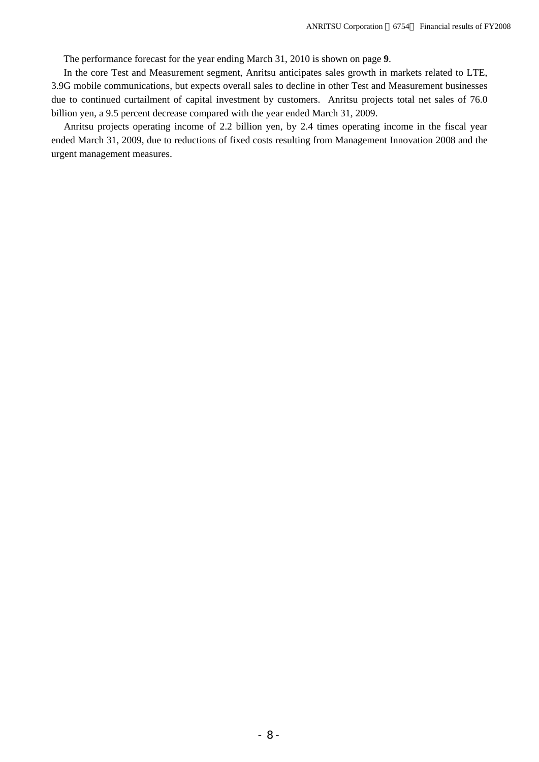The performance forecast for the year ending March 31, 2010 is shown on page **9**.

In the core Test and Measurement segment, Anritsu anticipates sales growth in markets related to LTE, 3.9G mobile communications, but expects overall sales to decline in other Test and Measurement businesses due to continued curtailment of capital investment by customers. Anritsu projects total net sales of 76.0 billion yen, a 9.5 percent decrease compared with the year ended March 31, 2009.

Anritsu projects operating income of 2.2 billion yen, by 2.4 times operating income in the fiscal year ended March 31, 2009, due to reductions of fixed costs resulting from Management Innovation 2008 and the urgent management measures.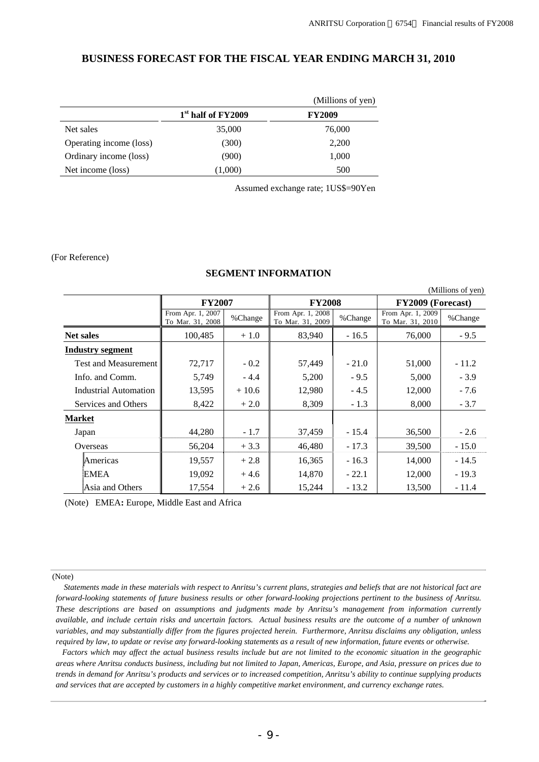$(A, E11)$  and  $(E_1, E_2)$ 

## **BUSINESS FORECAST FOR THE FISCAL YEAR ENDING MARCH 31, 2010**

|                         |                                | (Millions of yen) |
|-------------------------|--------------------------------|-------------------|
|                         | 1 <sup>st</sup> half of FY2009 | <b>FY2009</b>     |
| Net sales               | 35,000                         | 76,000            |
| Operating income (loss) | (300)                          | 2,200             |
| Ordinary income (loss)  | (900)                          | 1,000             |
| Net income (loss)       | (1,000)                        | 500               |

Assumed exchange rate; 1US\$=90Yen

### (For Reference)

### **SEGMENT INFORMATION**

|                             |                                       |         |                                       |         |                                       | (WHIIIOIIS OL VEIL) |  |  |
|-----------------------------|---------------------------------------|---------|---------------------------------------|---------|---------------------------------------|---------------------|--|--|
|                             | <b>FY2007</b>                         |         | <b>FY2008</b>                         |         | FY2009 (Forecast)                     |                     |  |  |
|                             | From Apr. 1, 2007<br>To Mar. 31, 2008 | %Change | From Apr. 1, 2008<br>To Mar. 31, 2009 | %Change | From Apr. 1, 2009<br>To Mar. 31, 2010 | %Change             |  |  |
| <b>Net sales</b>            | 100,485                               | $+1.0$  | 83,940                                | $-16.5$ | 76,000                                | $-9.5$              |  |  |
| <b>Industry segment</b>     |                                       |         |                                       |         |                                       |                     |  |  |
| <b>Test and Measurement</b> | 72,717                                | $-0.2$  | 57,449                                | $-21.0$ | 51,000                                | $-11.2$             |  |  |
| Info. and Comm.             | 5,749                                 | $-4.4$  | 5,200                                 | $-9.5$  | 5,000                                 | $-3.9$              |  |  |
| Industrial Automation       | 13,595                                | $+10.6$ | 12,980                                | $-4.5$  | 12,000                                | $-7.6$              |  |  |
| Services and Others         | 8,422                                 | $+2.0$  | 8,309                                 | $-1.3$  | 8,000                                 | $-3.7$              |  |  |
| <b>Market</b>               |                                       |         |                                       |         |                                       |                     |  |  |
| Japan                       | 44,280                                | $-1.7$  | 37,459                                | $-15.4$ | 36,500                                | $-2.6$              |  |  |
| Overseas                    | 56,204                                | $+3.3$  | 46,480                                | $-17.3$ | 39,500                                | $-15.0$             |  |  |
| Americas                    | 19,557                                | $+2.8$  | 16,365                                | $-16.3$ | 14,000                                | $-14.5$             |  |  |
| EMEA                        | 19,092                                | $+4.6$  | 14,870                                | $-22.1$ | 12,000                                | $-19.3$             |  |  |
| Asia and Others             | 17,554                                | $+2.6$  | 15,244                                | $-13.2$ | 13,500                                | $-11.4$             |  |  |

(Note) EMEA**:** Europe, Middle East and Africa

### (Note)

 *Statements made in these materials with respect to Anritsu's current plans, strategies and beliefs that are not historical fact are forward-looking statements of future business results or other forward-looking projections pertinent to the business of Anritsu. These descriptions are based on assumptions and judgments made by Anritsu's management from information currently available, and include certain risks and uncertain factors. Actual business results are the outcome of a number of unknown variables, and may substantially differ from the figures projected herein. Furthermore, Anritsu disclaims any obligation, unless required by law, to update or revise any forward-looking statements as a result of new information, future events or otherwise.*

*Factors which may affect the actual business results include but are not limited to the economic situation in the geographic areas where Anritsu conducts business, including but not limited to Japan, Americas, Europe, and Asia, pressure on prices due to trends in demand for Anritsu's products and services or to increased competition, Anritsu's ability to continue supplying products and services that are accepted by customers in a highly competitive market environment, and currency exchange rates.*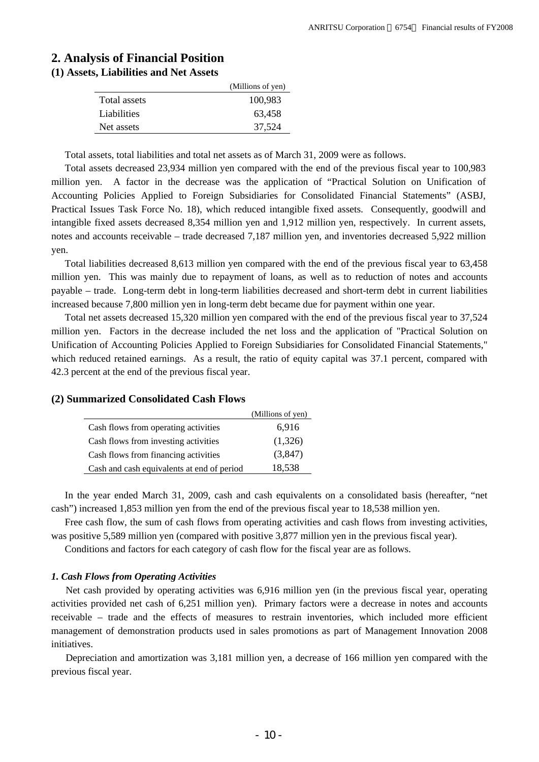# **2. Analysis of Financial Position**

## **(1) Assets, Liabilities and Net Assets**

|              | (Millions of yen) |
|--------------|-------------------|
| Total assets | 100,983           |
| Liabilities  | 63.458            |
| Net assets   | 37,524            |

Total assets, total liabilities and total net assets as of March 31, 2009 were as follows.

Total assets decreased 23,934 million yen compared with the end of the previous fiscal year to 100,983 million yen. A factor in the decrease was the application of "Practical Solution on Unification of Accounting Policies Applied to Foreign Subsidiaries for Consolidated Financial Statements" (ASBJ, Practical Issues Task Force No. 18), which reduced intangible fixed assets. Consequently, goodwill and intangible fixed assets decreased 8,354 million yen and 1,912 million yen, respectively. In current assets, notes and accounts receivable – trade decreased 7,187 million yen, and inventories decreased 5,922 million yen.

Total liabilities decreased 8,613 million yen compared with the end of the previous fiscal year to 63,458 million yen. This was mainly due to repayment of loans, as well as to reduction of notes and accounts payable – trade. Long-term debt in long-term liabilities decreased and short-term debt in current liabilities increased because 7,800 million yen in long-term debt became due for payment within one year.

Total net assets decreased 15,320 million yen compared with the end of the previous fiscal year to 37,524 million yen. Factors in the decrease included the net loss and the application of "Practical Solution on Unification of Accounting Policies Applied to Foreign Subsidiaries for Consolidated Financial Statements," which reduced retained earnings. As a result, the ratio of equity capital was 37.1 percent, compared with 42.3 percent at the end of the previous fiscal year.

|                                            | (Millions of yen) |
|--------------------------------------------|-------------------|
| Cash flows from operating activities       | 6,916             |
| Cash flows from investing activities       | (1,326)           |
| Cash flows from financing activities       | (3,847)           |
| Cash and cash equivalents at end of period | 18,538            |

**(2) Summarized Consolidated Cash Flows** 

In the year ended March 31, 2009, cash and cash equivalents on a consolidated basis (hereafter, "net cash") increased 1,853 million yen from the end of the previous fiscal year to 18,538 million yen.

Free cash flow, the sum of cash flows from operating activities and cash flows from investing activities, was positive 5,589 million yen (compared with positive 3,877 million yen in the previous fiscal year).

Conditions and factors for each category of cash flow for the fiscal year are as follows.

### *1. Cash Flows from Operating Activities*

Net cash provided by operating activities was 6,916 million yen (in the previous fiscal year, operating activities provided net cash of 6,251 million yen). Primary factors were a decrease in notes and accounts receivable – trade and the effects of measures to restrain inventories, which included more efficient management of demonstration products used in sales promotions as part of Management Innovation 2008 initiatives.

Depreciation and amortization was 3,181 million yen, a decrease of 166 million yen compared with the previous fiscal year.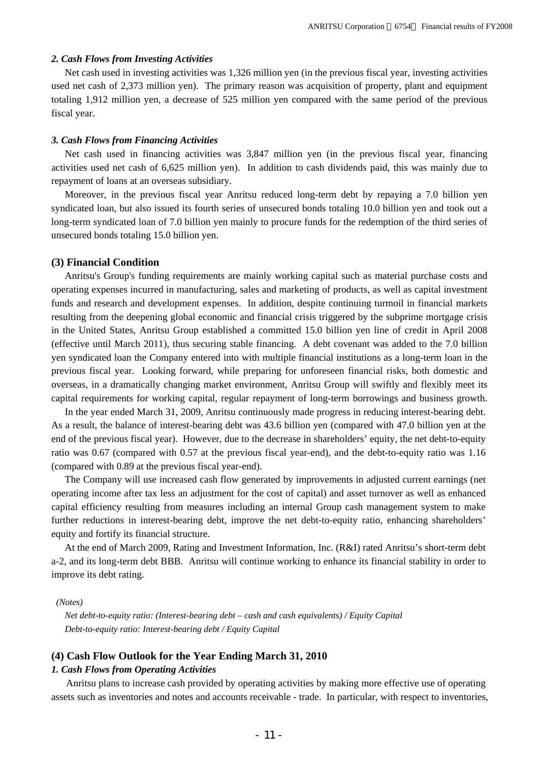### *2. Cash Flows from Investing Activities*

Net cash used in investing activities was 1,326 million yen (in the previous fiscal year, investing activities used net cash of 2,373 million yen). The primary reason was acquisition of property, plant and equipment totaling 1,912 million yen, a decrease of 525 million yen compared with the same period of the previous fiscal year.

### *3. Cash Flows from Financing Activities*

Net cash used in financing activities was 3,847 million yen (in the previous fiscal year, financing activities used net cash of 6,625 million yen). In addition to cash dividends paid, this was mainly due to repayment of loans at an overseas subsidiary.

Moreover, in the previous fiscal year Anritsu reduced long-term debt by repaying a 7.0 billion yen syndicated loan, but also issued its fourth series of unsecured bonds totaling 10.0 billion yen and took out a long-term syndicated loan of 7.0 billion yen mainly to procure funds for the redemption of the third series of unsecured bonds totaling 15.0 billion yen.

### **(3) Financial Condition**

Anritsu's Group's funding requirements are mainly working capital such as material purchase costs and operating expenses incurred in manufacturing, sales and marketing of products, as well as capital investment funds and research and development expenses. In addition, despite continuing turmoil in financial markets resulting from the deepening global economic and financial crisis triggered by the subprime mortgage crisis in the United States, Anritsu Group established a committed 15.0 billion yen line of credit in April 2008 (effective until March 2011), thus securing stable financing. A debt covenant was added to the 7.0 billion yen syndicated loan the Company entered into with multiple financial institutions as a long-term loan in the previous fiscal year. Looking forward, while preparing for unforeseen financial risks, both domestic and overseas, in a dramatically changing market environment, Anritsu Group will swiftly and flexibly meet its capital requirements for working capital, regular repayment of long-term borrowings and business growth.

In the year ended March 31, 2009, Anritsu continuously made progress in reducing interest-bearing debt. As a result, the balance of interest-bearing debt was 43.6 billion yen (compared with 47.0 billion yen at the end of the previous fiscal year). However, due to the decrease in shareholders' equity, the net debt-to-equity ratio was 0.67 (compared with 0.57 at the previous fiscal year-end), and the debt-to-equity ratio was 1.16 (compared with 0.89 at the previous fiscal year-end).

The Company will use increased cash flow generated by improvements in adjusted current earnings (net operating income after tax less an adjustment for the cost of capital) and asset turnover as well as enhanced capital efficiency resulting from measures including an internal Group cash management system to make further reductions in interest-bearing debt, improve the net debt-to-equity ratio, enhancing shareholders' equity and fortify its financial structure.

At the end of March 2009, Rating and Investment Information, Inc. (R&I) rated Anritsu's short-term debt a-2, and its long-term debt BBB. Anritsu will continue working to enhance its financial stability in order to improve its debt rating.

### *(Notes)*

*Net debt-to-equity ratio: (Interest-bearing debt – cash and cash equivalents) / Equity Capital Debt-to-equity ratio: Interest-bearing debt / Equity Capital* 

### **(4) Cash Flow Outlook for the Year Ending March 31, 2010**

### *1. Cash Flows from Operating Activities*

Anritsu plans to increase cash provided by operating activities by making more effective use of operating assets such as inventories and notes and accounts receivable - trade. In particular, with respect to inventories,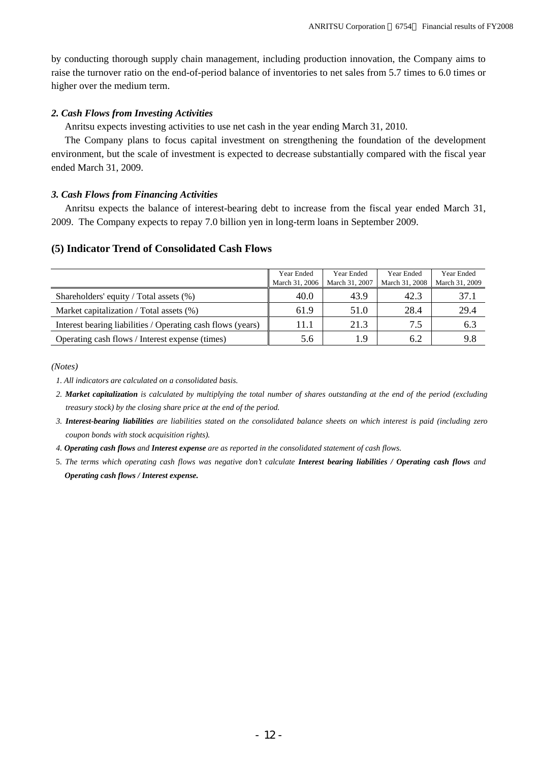by conducting thorough supply chain management, including production innovation, the Company aims to raise the turnover ratio on the end-of-period balance of inventories to net sales from 5.7 times to 6.0 times or higher over the medium term.

### *2. Cash Flows from Investing Activities*

Anritsu expects investing activities to use net cash in the year ending March 31, 2010.

The Company plans to focus capital investment on strengthening the foundation of the development environment, but the scale of investment is expected to decrease substantially compared with the fiscal year ended March 31, 2009.

### *3. Cash Flows from Financing Activities*

Anritsu expects the balance of interest-bearing debt to increase from the fiscal year ended March 31, 2009. The Company expects to repay 7.0 billion yen in long-term loans in September 2009.

# **(5) Indicator Trend of Consolidated Cash Flows**

|                                                             | Year Ended<br>March 31, 2006 | Year Ended<br>March 31, 2007 | Year Ended<br>March 31, 2008 | Year Ended<br>March 31, 2009 |
|-------------------------------------------------------------|------------------------------|------------------------------|------------------------------|------------------------------|
| Shareholders' equity / Total assets (%)                     | 40.0                         | 43.9                         | 42.3                         | 37.1                         |
| Market capitalization / Total assets (%)                    | 61.9                         | 51.0                         | 28.4                         | 29.4                         |
| Interest bearing liabilities / Operating cash flows (years) | 11.1                         | 21.3                         | 7.5                          | 6.3                          |
| Operating cash flows / Interest expense (times)             | 5.6                          | l.9                          | 6.2                          | 9.8                          |

*(Notes)* 

- *2. Market capitalization is calculated by multiplying the total number of shares outstanding at the end of the period (excluding treasury stock) by the closing share price at the end of the period.*
- *3. Interest-bearing liabilities are liabilities stated on the consolidated balance sheets on which interest is paid (including zero coupon bonds with stock acquisition rights).*
- *4. Operating cash flows and Interest expense are as reported in the consolidated statement of cash flows.*
- 5. *The terms which operating cash flows was negative don't calculate Interest bearing liabilities / Operating cash flows and Operating cash flows / Interest expense.*

*<sup>1.</sup> All indicators are calculated on a consolidated basis.*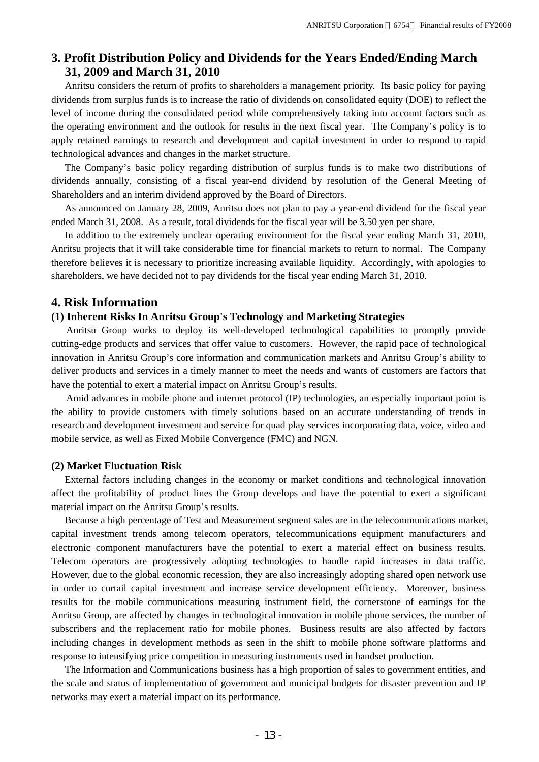# **3. Profit Distribution Policy and Dividends for the Years Ended/Ending March 31, 2009 and March 31, 2010**

Anritsu considers the return of profits to shareholders a management priority. Its basic policy for paying dividends from surplus funds is to increase the ratio of dividends on consolidated equity (DOE) to reflect the level of income during the consolidated period while comprehensively taking into account factors such as the operating environment and the outlook for results in the next fiscal year. The Company's policy is to apply retained earnings to research and development and capital investment in order to respond to rapid technological advances and changes in the market structure.

The Company's basic policy regarding distribution of surplus funds is to make two distributions of dividends annually, consisting of a fiscal year-end dividend by resolution of the General Meeting of Shareholders and an interim dividend approved by the Board of Directors.

As announced on January 28, 2009, Anritsu does not plan to pay a year-end dividend for the fiscal year ended March 31, 2008. As a result, total dividends for the fiscal year will be 3.50 yen per share.

In addition to the extremely unclear operating environment for the fiscal year ending March 31, 2010, Anritsu projects that it will take considerable time for financial markets to return to normal. The Company therefore believes it is necessary to prioritize increasing available liquidity. Accordingly, with apologies to shareholders, we have decided not to pay dividends for the fiscal year ending March 31, 2010.

## **4. Risk Information**

## **(1) Inherent Risks In Anritsu Group's Technology and Marketing Strategies**

Anritsu Group works to deploy its well-developed technological capabilities to promptly provide cutting-edge products and services that offer value to customers. However, the rapid pace of technological innovation in Anritsu Group's core information and communication markets and Anritsu Group's ability to deliver products and services in a timely manner to meet the needs and wants of customers are factors that have the potential to exert a material impact on Anritsu Group's results.

Amid advances in mobile phone and internet protocol (IP) technologies, an especially important point is the ability to provide customers with timely solutions based on an accurate understanding of trends in research and development investment and service for quad play services incorporating data, voice, video and mobile service, as well as Fixed Mobile Convergence (FMC) and NGN.

### **(2) Market Fluctuation Risk**

External factors including changes in the economy or market conditions and technological innovation affect the profitability of product lines the Group develops and have the potential to exert a significant material impact on the Anritsu Group's results.

Because a high percentage of Test and Measurement segment sales are in the telecommunications market, capital investment trends among telecom operators, telecommunications equipment manufacturers and electronic component manufacturers have the potential to exert a material effect on business results. Telecom operators are progressively adopting technologies to handle rapid increases in data traffic. However, due to the global economic recession, they are also increasingly adopting shared open network use in order to curtail capital investment and increase service development efficiency. Moreover, business results for the mobile communications measuring instrument field, the cornerstone of earnings for the Anritsu Group, are affected by changes in technological innovation in mobile phone services, the number of subscribers and the replacement ratio for mobile phones. Business results are also affected by factors including changes in development methods as seen in the shift to mobile phone software platforms and response to intensifying price competition in measuring instruments used in handset production.

The Information and Communications business has a high proportion of sales to government entities, and the scale and status of implementation of government and municipal budgets for disaster prevention and IP networks may exert a material impact on its performance.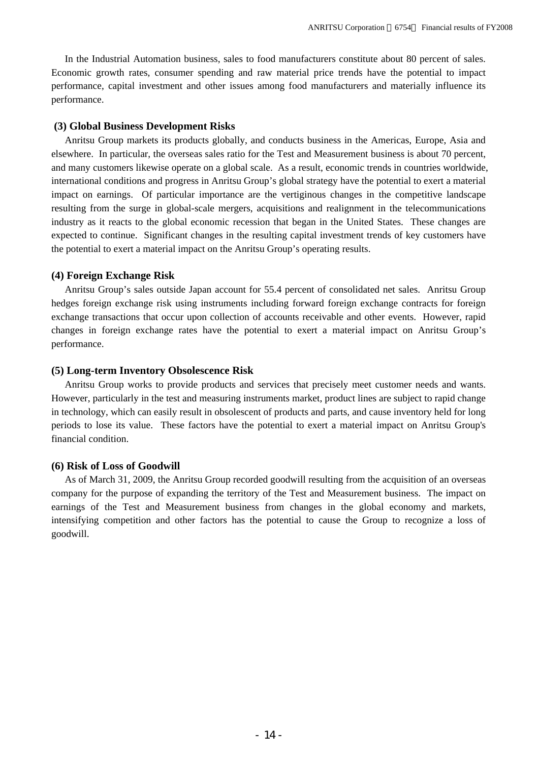In the Industrial Automation business, sales to food manufacturers constitute about 80 percent of sales. Economic growth rates, consumer spending and raw material price trends have the potential to impact performance, capital investment and other issues among food manufacturers and materially influence its performance.

### **(3) Global Business Development Risks**

Anritsu Group markets its products globally, and conducts business in the Americas, Europe, Asia and elsewhere. In particular, the overseas sales ratio for the Test and Measurement business is about 70 percent, and many customers likewise operate on a global scale. As a result, economic trends in countries worldwide, international conditions and progress in Anritsu Group's global strategy have the potential to exert a material impact on earnings. Of particular importance are the vertiginous changes in the competitive landscape resulting from the surge in global-scale mergers, acquisitions and realignment in the telecommunications industry as it reacts to the global economic recession that began in the United States. These changes are expected to continue. Significant changes in the resulting capital investment trends of key customers have the potential to exert a material impact on the Anritsu Group's operating results.

## **(4) Foreign Exchange Risk**

Anritsu Group's sales outside Japan account for 55.4 percent of consolidated net sales. Anritsu Group hedges foreign exchange risk using instruments including forward foreign exchange contracts for foreign exchange transactions that occur upon collection of accounts receivable and other events. However, rapid changes in foreign exchange rates have the potential to exert a material impact on Anritsu Group's performance.

## **(5) Long-term Inventory Obsolescence Risk**

Anritsu Group works to provide products and services that precisely meet customer needs and wants. However, particularly in the test and measuring instruments market, product lines are subject to rapid change in technology, which can easily result in obsolescent of products and parts, and cause inventory held for long periods to lose its value. These factors have the potential to exert a material impact on Anritsu Group's financial condition.

### **(6) Risk of Loss of Goodwill**

As of March 31, 2009, the Anritsu Group recorded goodwill resulting from the acquisition of an overseas company for the purpose of expanding the territory of the Test and Measurement business. The impact on earnings of the Test and Measurement business from changes in the global economy and markets, intensifying competition and other factors has the potential to cause the Group to recognize a loss of goodwill.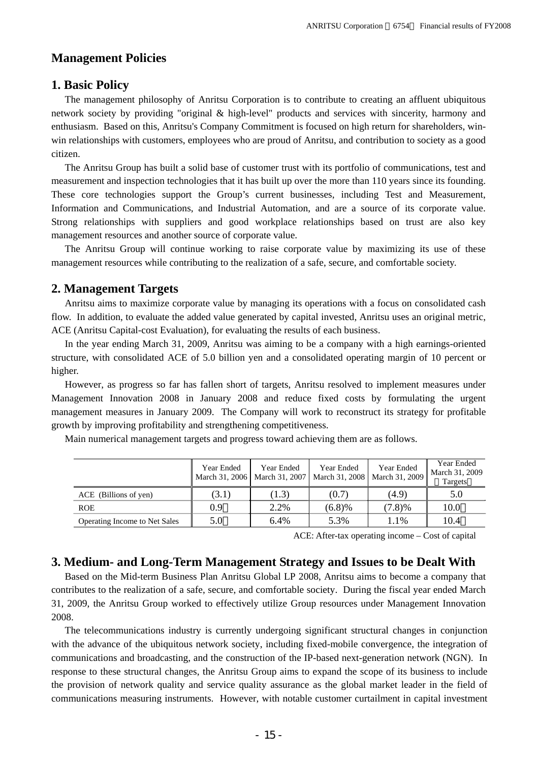# **Management Policies**

## **1. Basic Policy**

The management philosophy of Anritsu Corporation is to contribute to creating an affluent ubiquitous network society by providing "original & high-level" products and services with sincerity, harmony and enthusiasm. Based on this, Anritsu's Company Commitment is focused on high return for shareholders, winwin relationships with customers, employees who are proud of Anritsu, and contribution to society as a good citizen.

The Anritsu Group has built a solid base of customer trust with its portfolio of communications, test and measurement and inspection technologies that it has built up over the more than 110 years since its founding. These core technologies support the Group's current businesses, including Test and Measurement, Information and Communications, and Industrial Automation, and are a source of its corporate value. Strong relationships with suppliers and good workplace relationships based on trust are also key management resources and another source of corporate value.

The Anritsu Group will continue working to raise corporate value by maximizing its use of these management resources while contributing to the realization of a safe, secure, and comfortable society.

## **2. Management Targets**

Anritsu aims to maximize corporate value by managing its operations with a focus on consolidated cash flow. In addition, to evaluate the added value generated by capital invested, Anritsu uses an original metric, ACE (Anritsu Capital-cost Evaluation), for evaluating the results of each business.

In the year ending March 31, 2009, Anritsu was aiming to be a company with a high earnings-oriented structure, with consolidated ACE of 5.0 billion yen and a consolidated operating margin of 10 percent or higher.

However, as progress so far has fallen short of targets, Anritsu resolved to implement measures under Management Innovation 2008 in January 2008 and reduce fixed costs by formulating the urgent management measures in January 2009. The Company will work to reconstruct its strategy for profitable growth by improving profitability and strengthening competitiveness.

Main numerical management targets and progress toward achieving them are as follows.

|                               | Year Ended<br>March 31, 2006 March 31, 2007 | Year Ended | Year Ended | Year Ended<br>March 31, 2008   March 31, 2009 | Year Ended<br>March 31, 2009<br>Targets |
|-------------------------------|---------------------------------------------|------------|------------|-----------------------------------------------|-----------------------------------------|
| ACE (Billions of yen)         | (3.1)                                       | (1.3)      | (0.7)      | (4.9)                                         | 5.0                                     |
| <b>ROE</b>                    | 0.9                                         | 2.2%       | (6.8)%     | (7.8)%                                        | 10.0                                    |
| Operating Income to Net Sales | 5.0                                         | 6.4%       | 5.3%       | 1.1%                                          | 10.4                                    |

ACE: After-tax operating income – Cost of capital

# **3. Medium- and Long-Term Management Strategy and Issues to be Dealt With**

Based on the Mid-term Business Plan Anritsu Global LP 2008, Anritsu aims to become a company that contributes to the realization of a safe, secure, and comfortable society. During the fiscal year ended March 31, 2009, the Anritsu Group worked to effectively utilize Group resources under Management Innovation 2008.

The telecommunications industry is currently undergoing significant structural changes in conjunction with the advance of the ubiquitous network society, including fixed-mobile convergence, the integration of communications and broadcasting, and the construction of the IP-based next-generation network (NGN). In response to these structural changes, the Anritsu Group aims to expand the scope of its business to include the provision of network quality and service quality assurance as the global market leader in the field of communications measuring instruments. However, with notable customer curtailment in capital investment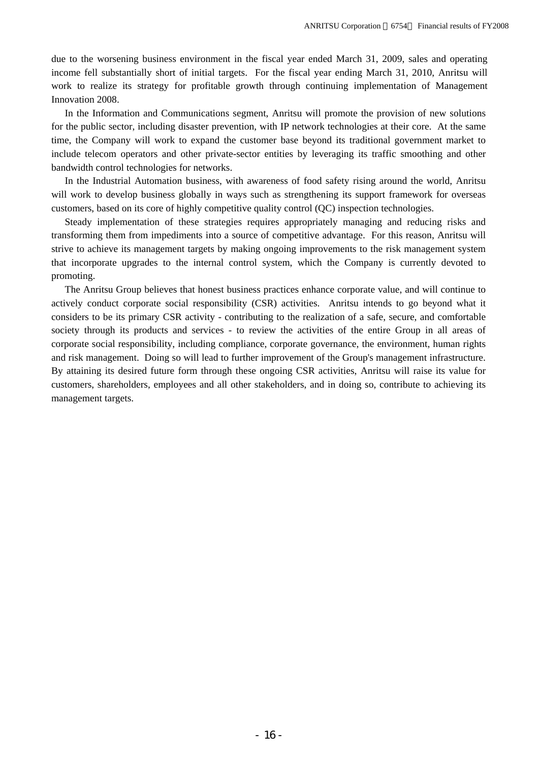due to the worsening business environment in the fiscal year ended March 31, 2009, sales and operating income fell substantially short of initial targets. For the fiscal year ending March 31, 2010, Anritsu will work to realize its strategy for profitable growth through continuing implementation of Management Innovation 2008.

In the Information and Communications segment, Anritsu will promote the provision of new solutions for the public sector, including disaster prevention, with IP network technologies at their core. At the same time, the Company will work to expand the customer base beyond its traditional government market to include telecom operators and other private-sector entities by leveraging its traffic smoothing and other bandwidth control technologies for networks.

In the Industrial Automation business, with awareness of food safety rising around the world, Anritsu will work to develop business globally in ways such as strengthening its support framework for overseas customers, based on its core of highly competitive quality control (QC) inspection technologies.

Steady implementation of these strategies requires appropriately managing and reducing risks and transforming them from impediments into a source of competitive advantage. For this reason, Anritsu will strive to achieve its management targets by making ongoing improvements to the risk management system that incorporate upgrades to the internal control system, which the Company is currently devoted to promoting.

The Anritsu Group believes that honest business practices enhance corporate value, and will continue to actively conduct corporate social responsibility (CSR) activities. Anritsu intends to go beyond what it considers to be its primary CSR activity - contributing to the realization of a safe, secure, and comfortable society through its products and services - to review the activities of the entire Group in all areas of corporate social responsibility, including compliance, corporate governance, the environment, human rights and risk management. Doing so will lead to further improvement of the Group's management infrastructure. By attaining its desired future form through these ongoing CSR activities, Anritsu will raise its value for customers, shareholders, employees and all other stakeholders, and in doing so, contribute to achieving its management targets.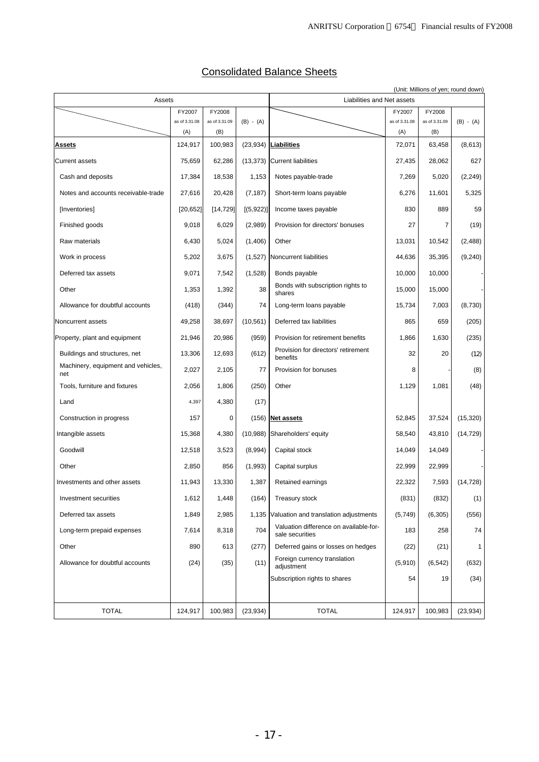| <b>Consolidated Balance Sheets</b> |
|------------------------------------|
|------------------------------------|

| Assets                                    |               |               |                                                |                                                           |               | (Unit: Millions of yen; round down) |              |
|-------------------------------------------|---------------|---------------|------------------------------------------------|-----------------------------------------------------------|---------------|-------------------------------------|--------------|
| FY2007<br>FY2008                          |               |               | Liabilities and Net assets<br>FY2008<br>FY2007 |                                                           |               |                                     |              |
|                                           | as of 3.31.08 | as of 3.31.09 | $(B) - (A)$                                    |                                                           | as of 3.31.08 | as of 3.31.09                       | $(B) - (A)$  |
|                                           | (A)           | (B)           |                                                |                                                           | (A)           | (B)                                 |              |
| <b>Assets</b>                             | 124,917       | 100,983       |                                                | $(23,934)$ Liabilities                                    | 72,071        | 63,458                              | (8,613)      |
| <b>Current assets</b>                     | 75,659        | 62,286        |                                                | (13,373) Current liabilities                              | 27,435        | 28,062                              | 627          |
| Cash and deposits                         | 17,384        | 18.538        | 1,153                                          | Notes payable-trade                                       | 7,269         | 5,020                               | (2, 249)     |
| Notes and accounts receivable-trade       | 27,616        | 20,428        | (7, 187)                                       | Short-term loans payable                                  | 6,276         | 11.601                              | 5,325        |
| [Inventories]                             | [20, 652]     | [14, 729]     | [(5,922)]                                      | Income taxes payable                                      | 830           | 889                                 | 59           |
| Finished goods                            | 9,018         | 6,029         | (2,989)                                        | Provision for directors' bonuses                          | 27            | 7                                   | (19)         |
| Raw materials                             | 6,430         | 5,024         | (1,406)                                        | Other                                                     | 13,031        | 10,542                              | (2,488)      |
| Work in process                           | 5,202         | 3,675         | (1,527)                                        | Noncurrent liabilities                                    | 44,636        | 35,395                              | (9,240)      |
| Deferred tax assets                       | 9,071         | 7,542         | (1,528)                                        | Bonds payable                                             | 10,000        | 10,000                              |              |
| Other                                     | 1,353         | 1,392         | 38                                             | Bonds with subscription rights to<br>shares               | 15,000        | 15,000                              |              |
| Allowance for doubtful accounts           | (418)         | (344)         | 74                                             | Long-term loans payable                                   | 15,734        | 7,003                               | (8,730)      |
| Noncurrent assets                         | 49,258        | 38,697        | (10, 561)                                      | Deferred tax liabilities                                  | 865           | 659                                 | (205)        |
| Property, plant and equipment             | 21,946        | 20,986        | (959)                                          | Provision for retirement benefits                         | 1,866         | 1,630                               | (235)        |
| Buildings and structures, net             | 13,306        | 12,693        | (612)                                          | Provision for directors' retirement<br>benefits           | 32            | 20                                  | (12)         |
| Machinery, equipment and vehicles,<br>net | 2,027         | 2,105         | 77                                             | Provision for bonuses                                     | 8             |                                     | (8)          |
| Tools, furniture and fixtures             | 2,056         | 1,806         | (250)                                          | Other                                                     | 1,129         | 1,081                               | (48)         |
| Land                                      | 4,397         | 4,380         | (17)                                           |                                                           |               |                                     |              |
| Construction in progress                  | 157           | 0             |                                                | $(156)$ Net assets                                        | 52,845        | 37,524                              | (15,320)     |
| Intangible assets                         | 15,368        | 4,380         |                                                | (10,988) Shareholders' equity                             | 58,540        | 43,810                              | (14, 729)    |
| Goodwill                                  | 12,518        | 3,523         | (8,994)                                        | Capital stock                                             | 14,049        | 14,049                              |              |
| Other                                     | 2,850         | 856           | (1,993)                                        | Capital surplus                                           | 22,999        | 22,999                              |              |
| Investments and other assets              | 11.943        | 13,330        | 1,387                                          | Retained earnings                                         | 22,322        | 7,593                               | (14, 728)    |
| Investment securities                     | 1,612         | 1,448         | (164)                                          | Treasury stock                                            | (831)         | (832)                               | (1)          |
| Deferred tax assets                       | 1,849         | 2,985         | 1,135                                          | Valuation and translation adjustments                     | (5,749)       | (6,305)                             | (556)        |
| Long-term prepaid expenses                | 7,614         | 8,318         | 704                                            | Valuation difference on available-for-<br>sale securities | 183           | 258                                 | 74           |
| Other                                     | 890           | 613           | (277)                                          | Deferred gains or losses on hedges                        | (22)          | (21)                                | $\mathbf{1}$ |
| Allowance for doubtful accounts           | (24)          | (35)          | (11)                                           | Foreign currency translation<br>adjustment                | (5,910)       | (6, 542)                            | (632)        |
|                                           |               |               |                                                | Subscription rights to shares                             | 54            | 19                                  | (34)         |
|                                           |               |               |                                                |                                                           |               |                                     |              |
| <b>TOTAL</b>                              | 124,917       | 100,983       | (23, 934)                                      | <b>TOTAL</b>                                              | 124,917       | 100,983                             | (23, 934)    |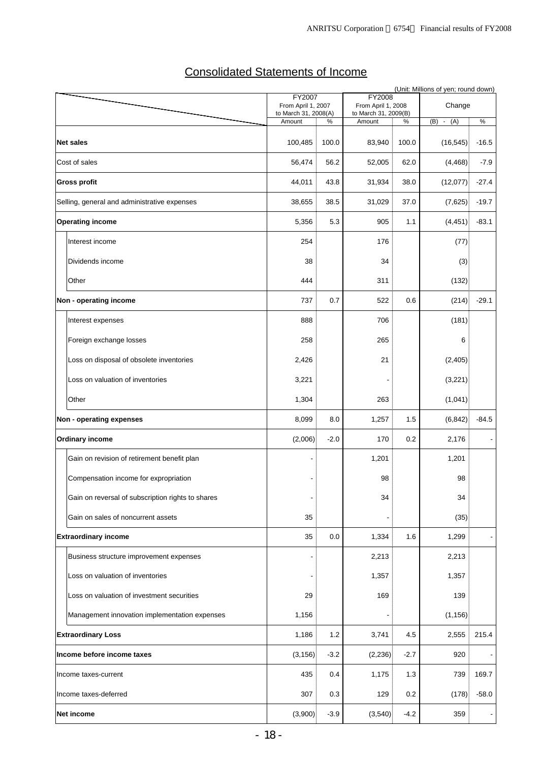# Consolidated Statements of Income

|                                                   | FY2007                                     |         | <b>FY2008</b>                              |        | (Unit: Millions of yen; round down) |               |
|---------------------------------------------------|--------------------------------------------|---------|--------------------------------------------|--------|-------------------------------------|---------------|
|                                                   | From April 1, 2007<br>to March 31, 2008(A) |         | From April 1, 2008<br>to March 31, 2009(B) |        | Change                              |               |
|                                                   | Amount                                     | %       | Amount                                     | $\%$   | (B)<br>$-(A)$                       | $\frac{0}{6}$ |
| <b>Net sales</b>                                  | 100,485                                    | 100.0   | 83,940                                     | 100.0  | (16, 545)                           | $-16.5$       |
| Cost of sales                                     | 56,474                                     | 56.2    | 52,005                                     | 62.0   | (4, 468)                            | $-7.9$        |
| <b>Gross profit</b>                               | 44,011                                     | 43.8    | 31,934                                     | 38.0   | (12,077)                            | $-27.4$       |
| Selling, general and administrative expenses      | 38,655                                     | 38.5    | 31,029                                     | 37.0   | (7,625)                             | $-19.7$       |
| <b>Operating income</b>                           | 5,356                                      | 5.3     | 905                                        | 1.1    | (4, 451)                            | $-83.1$       |
| Interest income                                   | 254                                        |         | 176                                        |        | (77)                                |               |
| Dividends income                                  | 38                                         |         | 34                                         |        | (3)                                 |               |
| Other                                             | 444                                        |         | 311                                        |        | (132)                               |               |
| Non - operating income                            | 737                                        | 0.7     | 522                                        | 0.6    | (214)                               | $-29.1$       |
| Interest expenses                                 | 888                                        |         | 706                                        |        | (181)                               |               |
| Foreign exchange losses                           | 258                                        |         | 265                                        |        | 6                                   |               |
| Loss on disposal of obsolete inventories          | 2,426                                      |         | 21                                         |        | (2,405)                             |               |
| Loss on valuation of inventories                  | 3,221                                      |         |                                            |        | (3,221)                             |               |
| Other                                             | 1,304                                      |         | 263                                        |        | (1,041)                             |               |
| Non - operating expenses                          | 8,099                                      | 8.0     | 1,257                                      | 1.5    | (6, 842)                            | $-84.5$       |
| <b>Ordinary income</b>                            | (2,006)                                    | $-2.0$  | 170                                        | 0.2    | 2,176                               |               |
| Gain on revision of retirement benefit plan       |                                            |         | 1,201                                      |        | 1,201                               |               |
| Compensation income for expropriation             |                                            |         | 98                                         |        | 98                                  |               |
| Gain on reversal of subscription rights to shares |                                            |         | 34                                         |        | 34                                  |               |
| Gain on sales of noncurrent assets                | 35                                         |         |                                            |        | (35)                                |               |
| <b>Extraordinary income</b>                       | 35                                         | $0.0\,$ | 1,334                                      | 1.6    | 1,299                               |               |
| Business structure improvement expenses           |                                            |         | 2,213                                      |        | 2,213                               |               |
| Loss on valuation of inventories                  |                                            |         | 1,357                                      |        | 1,357                               |               |
| Loss on valuation of investment securities        | 29                                         |         | 169                                        |        | 139                                 |               |
| Management innovation implementation expenses     | 1,156                                      |         |                                            |        | (1, 156)                            |               |
| <b>Extraordinary Loss</b>                         | 1,186                                      | $1.2$   | 3,741                                      | 4.5    | 2,555                               | 215.4         |
| Income before income taxes                        | (3, 156)                                   | $-3.2$  | (2, 236)                                   | $-2.7$ | 920                                 |               |
| Income taxes-current                              | 435                                        | 0.4     | 1,175                                      | 1.3    | 739                                 | 169.7         |
| Income taxes-deferred                             | 307                                        | 0.3     | 129                                        | 0.2    | (178)                               | $-58.0$       |
| Net income                                        | (3,900)                                    | $-3.9$  | (3,540)                                    | $-4.2$ | 359                                 |               |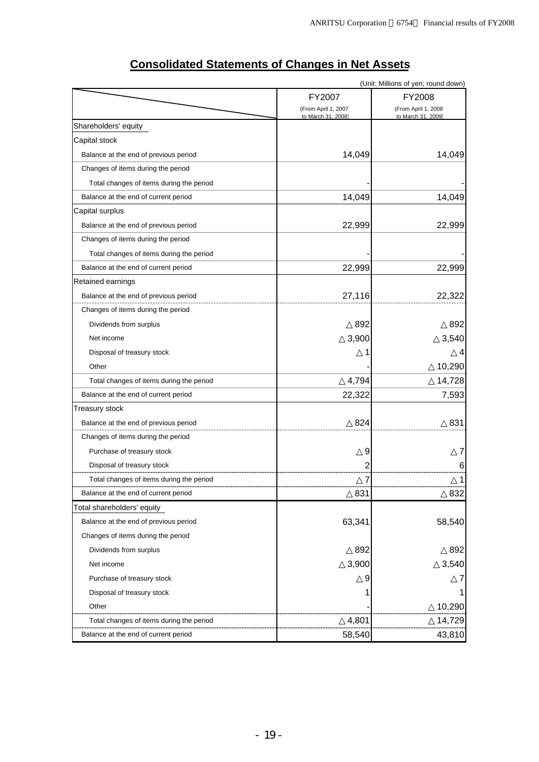| (Unit: Millions of yen; round down)      |                                           |                                           |  |  |  |
|------------------------------------------|-------------------------------------------|-------------------------------------------|--|--|--|
|                                          | FY2007                                    | FY2008                                    |  |  |  |
|                                          | (From April 1, 2007<br>to March 31, 2008) | (From April 1, 2008<br>to March 31, 2009) |  |  |  |
| Shareholders' equity                     |                                           |                                           |  |  |  |
| Capital stock                            |                                           |                                           |  |  |  |
| Balance at the end of previous period    | 14,049                                    | 14,049                                    |  |  |  |
| Changes of items during the period       |                                           |                                           |  |  |  |
| Total changes of items during the period |                                           |                                           |  |  |  |
| Balance at the end of current period     | 14,049                                    | 14,049                                    |  |  |  |
| Capital surplus                          |                                           |                                           |  |  |  |
| Balance at the end of previous period    | 22,999                                    | 22,999                                    |  |  |  |
| Changes of items during the period       |                                           |                                           |  |  |  |
| Total changes of items during the period |                                           |                                           |  |  |  |
| Balance at the end of current period     | 22,999                                    | 22,999                                    |  |  |  |
| Retained earnings                        |                                           |                                           |  |  |  |
| Balance at the end of previous period    | 27,116                                    | 22,322                                    |  |  |  |
| Changes of items during the period       |                                           |                                           |  |  |  |
| Dividends from surplus                   | 892                                       | 892                                       |  |  |  |
| Net income                               | 3,900                                     | 3,540                                     |  |  |  |
| Disposal of treasury stock               |                                           | 4                                         |  |  |  |
| Other                                    |                                           | 10,290                                    |  |  |  |
| Total changes of items during the period | 4,794                                     | 14,728                                    |  |  |  |
| Balance at the end of current period     | 22,322                                    | 7,593                                     |  |  |  |
| Treasury stock                           |                                           |                                           |  |  |  |
| Balance at the end of previous period    | 824                                       | 831                                       |  |  |  |
| Changes of items during the period       |                                           |                                           |  |  |  |
| Purchase of treasury stock               | 9                                         | 7                                         |  |  |  |
| Disposal of treasury stock               | 2                                         | 6                                         |  |  |  |
| Total changes of items during the period | 7                                         | 1                                         |  |  |  |
| Balance at the end of current period     | 831                                       | 832                                       |  |  |  |
| Total shareholders' equity               |                                           |                                           |  |  |  |
| Balance at the end of previous period    | 63,341                                    | 58,540                                    |  |  |  |
| Changes of items during the period       |                                           |                                           |  |  |  |
| Dividends from surplus                   | 892                                       | 892                                       |  |  |  |
| Net income                               | 3,900                                     | 3,540                                     |  |  |  |
| Purchase of treasury stock               | 9                                         |                                           |  |  |  |
| Disposal of treasury stock               |                                           | 1                                         |  |  |  |
| Other                                    |                                           | 10,290                                    |  |  |  |
| Total changes of items during the period | 4,801                                     | 14,729                                    |  |  |  |
| Balance at the end of current period     | 58,540                                    | 43,810                                    |  |  |  |

# **Consolidated Statements of Changes in Net Assets**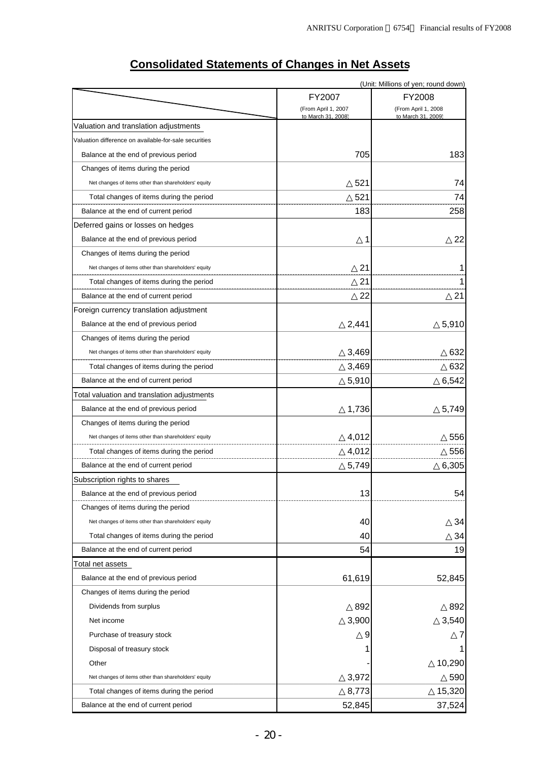|                                                       |                                           | (Unit: Millions of yen; round down)       |  |
|-------------------------------------------------------|-------------------------------------------|-------------------------------------------|--|
|                                                       | FY2007                                    | FY2008                                    |  |
|                                                       | (From April 1, 2007<br>to March 31, 2008) | (From April 1, 2008<br>to March 31, 2009) |  |
| Valuation and translation adjustments                 |                                           |                                           |  |
| Valuation difference on available-for-sale securities |                                           |                                           |  |
| Balance at the end of previous period                 | 705                                       | 183                                       |  |
| Changes of items during the period                    |                                           |                                           |  |
| Net changes of items other than shareholders' equity  | 521                                       | 74                                        |  |
| Total changes of items during the period              | 521                                       | 74                                        |  |
| Balance at the end of current period                  | 183                                       | 258                                       |  |
| Deferred gains or losses on hedges                    |                                           |                                           |  |
| Balance at the end of previous period                 | 1                                         | 22                                        |  |
| Changes of items during the period                    |                                           |                                           |  |
| Net changes of items other than shareholders' equity  | 21                                        |                                           |  |
| Total changes of items during the period              | 21                                        |                                           |  |
| Balance at the end of current period                  | 22                                        | 21                                        |  |
| Foreign currency translation adjustment               |                                           |                                           |  |
| Balance at the end of previous period                 | 2,441                                     | 5,910                                     |  |
| Changes of items during the period                    |                                           |                                           |  |
| Net changes of items other than shareholders' equity  | 3,469                                     | 632                                       |  |
| Total changes of items during the period              | 3,469                                     | 632                                       |  |
| Balance at the end of current period                  | 5,910                                     | 6,542                                     |  |
| Total valuation and translation adjustments           |                                           |                                           |  |
| Balance at the end of previous period                 | 1,736                                     | 5,749                                     |  |
| Changes of items during the period                    |                                           |                                           |  |
| Net changes of items other than shareholders' equity  | 4,012                                     | 556                                       |  |
| Total changes of items during the period              | 4,012                                     | 556                                       |  |
| Balance at the end of current period                  | 5,749                                     | 6,305                                     |  |
| Subscription rights to shares                         |                                           |                                           |  |
| Balance at the end of previous period                 | 13                                        | 54                                        |  |
| Changes of items during the period                    |                                           |                                           |  |
| Net changes of items other than shareholders' equity  | 40                                        | 34                                        |  |
| Total changes of items during the period              | 40                                        | 34                                        |  |
| Balance at the end of current period                  | 54                                        | 19                                        |  |
| Total net assets                                      |                                           |                                           |  |
| Balance at the end of previous period                 | 61,619                                    | 52,845                                    |  |
| Changes of items during the period                    |                                           |                                           |  |
| Dividends from surplus                                | 892                                       | 892                                       |  |
| Net income                                            | 3,900                                     | 3,540                                     |  |
| Purchase of treasury stock                            |                                           |                                           |  |
| Disposal of treasury stock                            |                                           |                                           |  |
| Other                                                 |                                           | 10,290                                    |  |
| Net changes of items other than shareholders' equity  | 3,972                                     | 590                                       |  |
| Total changes of items during the period              | 8,773                                     | 15,320                                    |  |
| Balance at the end of current period                  | 52,845                                    | 37,524                                    |  |

# **Consolidated Statements of Changes in Net Assets**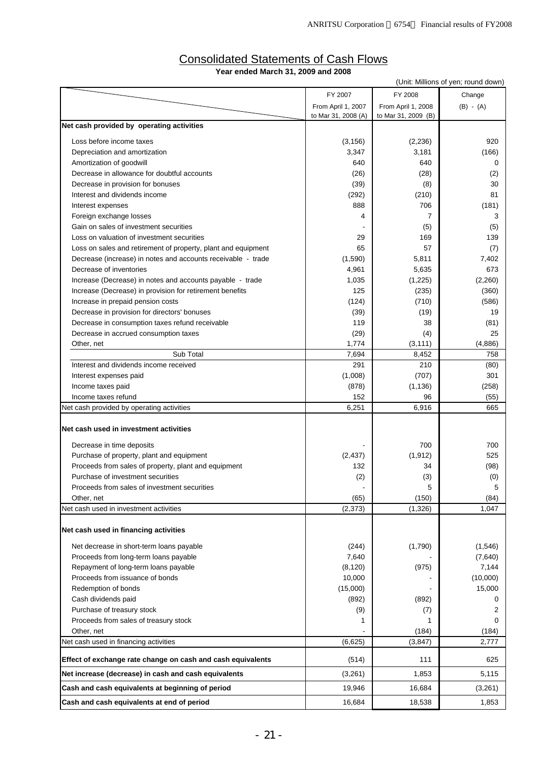| (Unit: Millions of yen; round down)                                               |                     |                     |             |  |  |  |
|-----------------------------------------------------------------------------------|---------------------|---------------------|-------------|--|--|--|
|                                                                                   | FY 2007             | FY 2008             | Change      |  |  |  |
|                                                                                   | From April 1, 2007  | From April 1, 2008  | $(B) - (A)$ |  |  |  |
|                                                                                   | to Mar 31, 2008 (A) | to Mar 31, 2009 (B) |             |  |  |  |
| Net cash provided by operating activities                                         |                     |                     |             |  |  |  |
| Loss before income taxes                                                          | (3, 156)            | (2, 236)            | 920         |  |  |  |
| Depreciation and amortization                                                     | 3,347               | 3,181               | (166)       |  |  |  |
| Amortization of goodwill                                                          | 640                 | 640                 | 0           |  |  |  |
| Decrease in allowance for doubtful accounts                                       | (26)                | (28)                | (2)         |  |  |  |
| Decrease in provision for bonuses                                                 | (39)                | (8)                 | 30          |  |  |  |
| Interest and dividends income                                                     | (292)               | (210)               | 81          |  |  |  |
| Interest expenses                                                                 | 888                 | 706                 | (181)       |  |  |  |
| Foreign exchange losses                                                           | 4                   | $\overline{7}$      | 3           |  |  |  |
| Gain on sales of investment securities                                            |                     | (5)                 | (5)         |  |  |  |
| Loss on valuation of investment securities                                        | 29                  | 169                 | 139         |  |  |  |
| Loss on sales and retirement of property, plant and equipment                     | 65                  | 57                  | (7)         |  |  |  |
| Decrease (increase) in notes and accounts receivable - trade                      | (1,590)             | 5,811               | 7,402       |  |  |  |
| Decrease of inventories                                                           | 4,961               | 5,635               | 673         |  |  |  |
| Increase (Decrease) in notes and accounts payable - trade                         | 1,035               | (1,225)             | (2,260)     |  |  |  |
| Increase (Decrease) in provision for retirement benefits                          | 125                 | (235)               | (360)       |  |  |  |
| Increase in prepaid pension costs<br>Decrease in provision for directors' bonuses | (124)<br>(39)       | (710)<br>(19)       | (586)<br>19 |  |  |  |
| Decrease in consumption taxes refund receivable                                   | 119                 | 38                  | (81)        |  |  |  |
| Decrease in accrued consumption taxes                                             | (29)                | (4)                 | 25          |  |  |  |
| Other, net                                                                        | 1,774               | (3, 111)            | (4,886)     |  |  |  |
| Sub Total                                                                         | 7,694               | 8,452               | 758         |  |  |  |
| Interest and dividends income received                                            | 291                 | 210                 | (80)        |  |  |  |
| Interest expenses paid                                                            | (1,008)             | (707)               | 301         |  |  |  |
| Income taxes paid                                                                 | (878)               | (1, 136)            | (258)       |  |  |  |
| Income taxes refund                                                               | 152                 | 96                  | (55)        |  |  |  |
| Net cash provided by operating activities                                         | 6,251               | 6,916               | 665         |  |  |  |
|                                                                                   |                     |                     |             |  |  |  |
| Net cash used in investment activities                                            |                     |                     |             |  |  |  |
| Decrease in time deposits                                                         |                     | 700                 | 700         |  |  |  |
| Purchase of property, plant and equipment                                         | (2, 437)            | (1, 912)            | 525         |  |  |  |
| Proceeds from sales of property, plant and equipment                              | 132                 | 34                  | (98)        |  |  |  |
| Purchase of investment securities                                                 | (2)                 | (3)                 | (0)         |  |  |  |
| Proceeds from sales of investment securities                                      |                     | 5                   | 5           |  |  |  |
| Other, net                                                                        | (65)                | (150)               | (84)        |  |  |  |
| Net cash used in investment activities                                            | (2,373)             | (1,326)             | 1,047       |  |  |  |
| Net cash used in financing activities                                             |                     |                     |             |  |  |  |
|                                                                                   |                     |                     |             |  |  |  |
| Net decrease in short-term loans payable                                          | (244)               | (1,790)             | (1,546)     |  |  |  |
| Proceeds from long-term loans payable                                             | 7,640               |                     | (7,640)     |  |  |  |
| Repayment of long-term loans payable                                              | (8, 120)            | (975)               | 7,144       |  |  |  |
| Proceeds from issuance of bonds<br>Redemption of bonds                            | 10,000              |                     | (10,000)    |  |  |  |
| Cash dividends paid                                                               | (15,000)<br>(892)   | (892)               | 15,000<br>0 |  |  |  |
| Purchase of treasury stock                                                        | (9)                 | (7)                 | 2           |  |  |  |
| Proceeds from sales of treasury stock                                             | 1                   |                     | 0           |  |  |  |
| Other, net                                                                        |                     | (184)               | (184)       |  |  |  |
| Net cash used in financing activities                                             | (6,625)             | (3, 847)            | 2,777       |  |  |  |
|                                                                                   |                     |                     |             |  |  |  |
| Effect of exchange rate change on cash and cash equivalents                       | (514)               | 111                 | 625         |  |  |  |
| Net increase (decrease) in cash and cash equivalents                              | (3,261)             | 1,853               | 5,115       |  |  |  |
| Cash and cash equivalents at beginning of period                                  | 19,946              | 16,684              | (3,261)     |  |  |  |
| Cash and cash equivalents at end of period                                        | 16,684              | 18,538              | 1,853       |  |  |  |

## Consolidated Statements of Cash Flows **Year ended March 31, 2009 and 2008**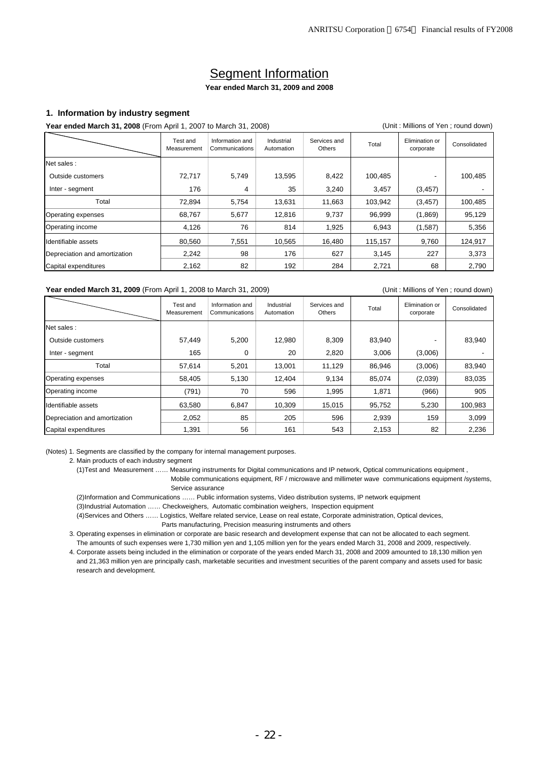# Segment Information

## **Year ended March 31, 2009 and 2008**

### **1. Information by industry segment**

### **Year ended March 31, 2008** (From April 1, 2007 to March 31, 2008) (Unit : Millions of Yen ; round down)

|                               | Test and<br>Measurement | Information and<br>Communications | Industrial<br>Automation | Services and<br>Others | Total   | Elimination or<br>corporate | Consolidated |
|-------------------------------|-------------------------|-----------------------------------|--------------------------|------------------------|---------|-----------------------------|--------------|
| Net sales:                    |                         |                                   |                          |                        |         |                             |              |
| Outside customers             | 72,717                  | 5,749                             | 13,595                   | 8,422                  | 100,485 |                             | 100,485      |
| Inter - segment               | 176                     | 4                                 | 35                       | 3,240                  | 3,457   | (3, 457)                    |              |
| Total                         | 72,894                  | 5,754                             | 13,631                   | 11,663                 | 103,942 | (3, 457)                    | 100,485      |
| Operating expenses            | 68,767                  | 5,677                             | 12,816                   | 9,737                  | 96,999  | (1,869)                     | 95,129       |
| Operating income              | 4,126                   | 76                                | 814                      | 1,925                  | 6,943   | (1,587)                     | 5,356        |
| Identifiable assets           | 80,560                  | 7,551                             | 10,565                   | 16,480                 | 115,157 | 9,760                       | 124,917      |
| Depreciation and amortization | 2,242                   | 98                                | 176                      | 627                    | 3,145   | 227                         | 3,373        |
| Capital expenditures          | 2,162                   | 82                                | 192                      | 284                    | 2,721   | 68                          | 2,790        |

### Year ended March 31, 2009 (From April 1, 2008 to March 31, 2009) **Communist Contract Contract Contract Contract Contract Contract Contract Contract Contract Contract Contract Contract Contract Contract Contract Contract Co**

|                               | Test and<br>Measurement | Information and<br>Communications | Industrial<br>Automation | Services and<br>Others | Total  | Elimination or<br>corporate | Consolidated |
|-------------------------------|-------------------------|-----------------------------------|--------------------------|------------------------|--------|-----------------------------|--------------|
| Net sales:                    |                         |                                   |                          |                        |        |                             |              |
| Outside customers             | 57,449                  | 5,200                             | 12,980                   | 8,309                  | 83,940 |                             | 83,940       |
| Inter - segment               | 165                     | 0                                 | 20                       | 2,820                  | 3,006  | (3,006)                     |              |
| Total                         | 57,614                  | 5,201                             | 13,001                   | 11,129                 | 86,946 | (3,006)                     | 83,940       |
| Operating expenses            | 58,405                  | 5,130                             | 12,404                   | 9,134                  | 85,074 | (2,039)                     | 83,035       |
| Operating income              | (791)                   | 70                                | 596                      | 1,995                  | 1,871  | (966)                       | 905          |
| Identifiable assets           | 63,580                  | 6.847                             | 10,309                   | 15.015                 | 95,752 | 5,230                       | 100,983      |
| Depreciation and amortization | 2,052                   | 85                                | 205                      | 596                    | 2,939  | 159                         | 3,099        |
| Capital expenditures          | 391.ا                   | 56                                | 161                      | 543                    | 2,153  | 82                          | 2,236        |

(Notes) 1. Segments are classified by the company for internal management purposes.

2. Main products of each industry segment

(1)Test and Measurement …… Measuring instruments for Digital communications and IP network, Optical communications equipment ,

 Mobile communications equipment, RF / microwave and millimeter wave communications equipment /systems, Service assurance

(2)Information and Communications …… Public information systems, Video distribution systems, IP network equipment

(3)Industrial Automation …… Checkweighers, Automatic combination weighers, Inspection equipment

(4)Services and Others …… Logistics, Welfare related service, Lease on real estate, Corporate administration, Optical devices,

Parts manufacturing, Precision measuring instruments and others

 3. Operating expenses in elimination or corporate are basic research and development expense that can not be allocated to each segment. The amounts of such expenses were 1,730 million yen and 1,105 million yen for the years ended March 31, 2008 and 2009, respectively.

 4. Corporate assets being included in the elimination or corporate of the years ended March 31, 2008 and 2009 amounted to 18,130 million yen and 21,363 million yen are principally cash, marketable securities and investment securities of the parent company and assets used for basic research and development.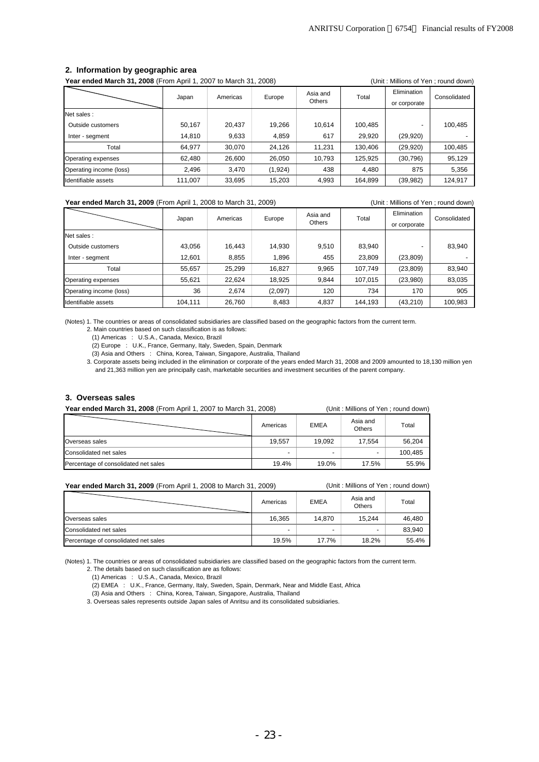| <b>Year ended March 31, 2008</b> (From April 1, 2007 to March 31, 2008) |         |          |                                     |        |         |                             | (Unit: Millions of Yen; round down) |
|-------------------------------------------------------------------------|---------|----------|-------------------------------------|--------|---------|-----------------------------|-------------------------------------|
|                                                                         | Japan   | Americas | Asia and<br>Europe<br><b>Others</b> |        | Total   | Elimination<br>or corporate | Consolidated                        |
| Net sales:                                                              |         |          |                                     |        |         |                             |                                     |
| Outside customers                                                       | 50,167  | 20.437   | 19,266                              | 10,614 | 100,485 |                             | 100,485                             |
| Inter - segment                                                         | 14,810  | 9,633    | 4,859                               | 617    | 29,920  | (29, 920)                   |                                     |
| Total                                                                   | 64,977  | 30,070   | 24,126                              | 11,231 | 130,406 | (29, 920)                   | 100,485                             |
| Operating expenses                                                      | 62,480  | 26,600   | 26,050                              | 10,793 | 125,925 | (30, 796)                   | 95,129                              |
| Operating income (loss)                                                 | 2,496   | 3,470    | (1,924)                             | 438    | 4,480   | 875                         | 5,356                               |
| Identifiable assets                                                     | 111,007 | 33,695   | 15.203                              | 4,993  | 164,899 | (39,982)                    | 124.917                             |

#### **2. Information by geographic area**

### Year ended March 31, 2009 (From April 1, 2008 to March 31, 2009) **(Example 2018)** (Unit: Millions of Yen; round down)

Elimination or corporate Net sales : Outside customers 1 43,056 16,443 14,930 9,510 83,940 - 83,940 Inter - segment 12,601 | 8,855 | 1,896 | 455 | 23,809 | 23,809) Total 55,657 25,299 16,827 9,965 107,749 (23,809) 83,940 Operating expenses 55,621 22,624 18,925 9,844 107,015 (23,980) 83,035 Operating income (loss) 36 2,674 (2,097) 120 734 170 905 Identifiable assets 104,111 26,760 8,483 4,837 144,193 (43,210) 100,983 Total | Consolidated Europe Asia and Japan Americas Europe Maia

(Notes) 1. The countries or areas of consolidated subsidiaries are classified based on the geographic factors from the current term.

2. Main countries based on such classification is as follows:

(1) Americas : U.S.A., Canada, Mexico, Brazil

(2) Europe : U.K., France, Germany, Italy, Sweden, Spain, Denmark

(3) Asia and Others : China, Korea, Taiwan, Singapore, Australia, Thailand

 3. Corporate assets being included in the elimination or corporate of the years ended March 31, 2008 and 2009 amounted to 18,130 million yen and 21,363 million yen are principally cash, marketable securities and investment securities of the parent company.

#### **3. Overseas sales**

**Year ended March 31, 2008** (From April 1, 2007 to March 31, 2008) (Unit : Millions of Yen ; round down) Americas EMEA Asia and Asia and Total Overseas sales 19,557 19,092 17,554 56,204 Consolidated net sales - - - 100,485 Percentage of consolidated net sales 19.4% 19.4% 19.0% 17.5% 55.9%

#### **Year ended March 31, 2009** (From April 1, 2008 to March 31, 2009) (Unit : Millions of Yen ; round down)

|                                      | Americas | <b>EMEA</b> | Asia and<br><b>Others</b> | Total  |
|--------------------------------------|----------|-------------|---------------------------|--------|
| Overseas sales                       | 16.365   | 14.870      | 15.244                    | 46.480 |
| Consolidated net sales               |          |             |                           | 83,940 |
| Percentage of consolidated net sales | 19.5%    | 17.7%       | 18.2%                     | 55.4%  |

(Notes) 1. The countries or areas of consolidated subsidiaries are classified based on the geographic factors from the current term.

2. The details based on such classification are as follows:

(1) Americas : U.S.A., Canada, Mexico, Brazil

(2) EMEA : U.K., France, Germany, Italy, Sweden, Spain, Denmark, Near and Middle East, Africa

(3) Asia and Others : China, Korea, Taiwan, Singapore, Australia, Thailand

3. Overseas sales represents outside Japan sales of Anritsu and its consolidated subsidiaries.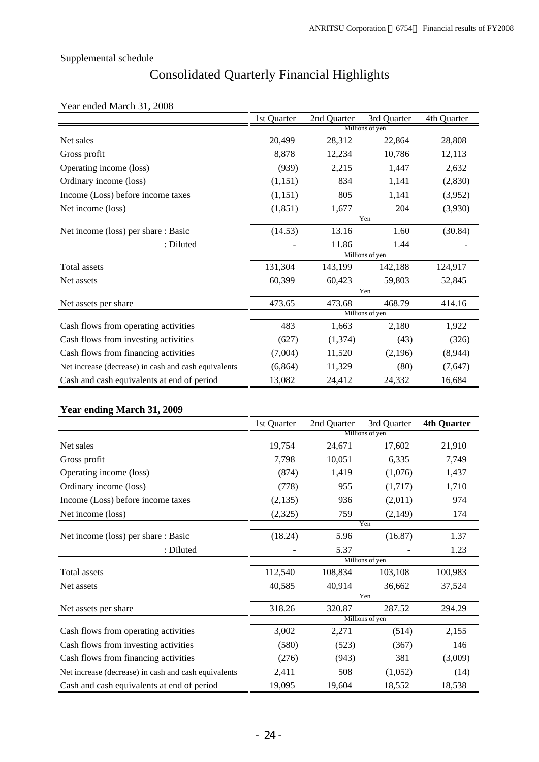# Consolidated Quarterly Financial Highlights

# Year ended March 31, 2008

|                                                      | 1st Quarter     | 2nd Quarter | 3rd Quarter     | 4th Quarter |  |
|------------------------------------------------------|-----------------|-------------|-----------------|-------------|--|
|                                                      | Millions of yen |             |                 |             |  |
| Net sales                                            | 20,499          | 28,312      | 22,864          | 28,808      |  |
| Gross profit                                         | 8,878           | 12,234      | 10,786          | 12,113      |  |
| Operating income (loss)                              | (939)           | 2,215       | 1,447           | 2,632       |  |
| Ordinary income (loss)                               | (1,151)         | 834         | 1,141           | (2,830)     |  |
| Income (Loss) before income taxes                    | (1,151)         | 805         | 1,141           | (3,952)     |  |
| Net income (loss)                                    | (1, 851)        | 1,677       | 204             | (3,930)     |  |
|                                                      |                 |             | Yen             |             |  |
| Net income (loss) per share : Basic                  | (14.53)         | 13.16       | 1.60            | (30.84)     |  |
| : Diluted                                            |                 | 11.86       | 1.44            |             |  |
|                                                      |                 |             | Millions of yen |             |  |
| Total assets                                         | 131,304         | 143,199     | 142,188         | 124,917     |  |
| Net assets                                           | 60,399          | 60,423      | 59,803          | 52,845      |  |
|                                                      |                 |             | Yen             |             |  |
| Net assets per share                                 | 473.65          | 473.68      | 468.79          | 414.16      |  |
|                                                      |                 |             | Millions of yen |             |  |
| Cash flows from operating activities                 | 483             | 1,663       | 2,180           | 1,922       |  |
| Cash flows from investing activities                 | (627)           | (1,374)     | (43)            | (326)       |  |
| Cash flows from financing activities                 | (7,004)         | 11,520      | (2,196)         | (8,944)     |  |
| Net increase (decrease) in cash and cash equivalents | (6,864)         | 11,329      | (80)            | (7,647)     |  |
| Cash and cash equivalents at end of period           | 13,082          | 24,412      | 24,332          | 16,684      |  |

# **Year ending March 31, 2009**

|                                                      | 1st Quarter | 2nd Quarter | 3rd Quarter     | <b>4th Quarter</b> |
|------------------------------------------------------|-------------|-------------|-----------------|--------------------|
|                                                      |             |             | Millions of yen |                    |
| Net sales                                            | 19,754      | 24,671      | 17,602          | 21,910             |
| Gross profit                                         | 7,798       | 10,051      | 6,335           | 7,749              |
| Operating income (loss)                              | (874)       | 1,419       | (1,076)         | 1,437              |
| Ordinary income (loss)                               | (778)       | 955         | (1,717)         | 1,710              |
| Income (Loss) before income taxes                    | (2,135)     | 936         | (2,011)         | 974                |
| Net income (loss)                                    | (2,325)     | 759         | (2,149)         | 174                |
|                                                      |             |             | Yen             |                    |
| Net income (loss) per share : Basic                  | (18.24)     | 5.96        | (16.87)         | 1.37               |
| : Diluted                                            |             | 5.37        |                 | 1.23               |
|                                                      |             |             | Millions of yen |                    |
| Total assets                                         | 112,540     | 108,834     | 103,108         | 100,983            |
| Net assets                                           | 40,585      | 40,914      | 36,662          | 37,524             |
|                                                      |             |             | Yen             |                    |
| Net assets per share                                 | 318.26      | 320.87      | 287.52          | 294.29             |
|                                                      |             |             | Millions of yen |                    |
| Cash flows from operating activities                 | 3,002       | 2,271       | (514)           | 2,155              |
| Cash flows from investing activities                 | (580)       | (523)       | (367)           | 146                |
| Cash flows from financing activities                 | (276)       | (943)       | 381             | (3,009)            |
| Net increase (decrease) in cash and cash equivalents | 2,411       | 508         | (1,052)         | (14)               |
| Cash and cash equivalents at end of period           | 19,095      | 19,604      | 18,552          | 18,538             |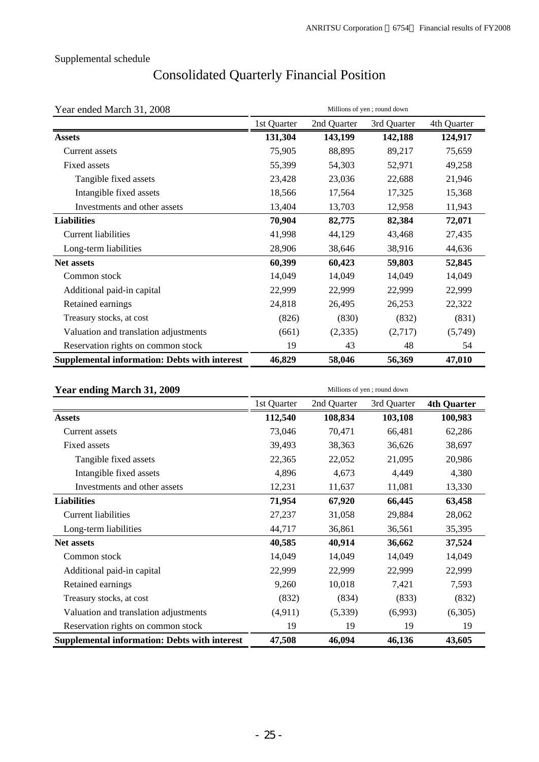# Consolidated Quarterly Financial Position

| Year ended March 31, 2008                            | Millions of yen; round down |             |             |             |  |  |
|------------------------------------------------------|-----------------------------|-------------|-------------|-------------|--|--|
|                                                      | 1st Quarter                 | 2nd Quarter | 3rd Quarter | 4th Quarter |  |  |
| <b>Assets</b>                                        | 131,304                     | 143,199     | 142,188     | 124,917     |  |  |
| Current assets                                       | 75,905                      | 88,895      | 89,217      | 75,659      |  |  |
| Fixed assets                                         | 55,399                      | 54,303      | 52,971      | 49,258      |  |  |
| Tangible fixed assets                                | 23,428                      | 23,036      | 22,688      | 21,946      |  |  |
| Intangible fixed assets                              | 18,566                      | 17,564      | 17,325      | 15,368      |  |  |
| Investments and other assets                         | 13,404                      | 13,703      | 12,958      | 11,943      |  |  |
| <b>Liabilities</b>                                   | 70,904                      | 82,775      | 82,384      | 72,071      |  |  |
| <b>Current liabilities</b>                           | 41,998                      | 44,129      | 43,468      | 27,435      |  |  |
| Long-term liabilities                                | 28,906                      | 38,646      | 38,916      | 44,636      |  |  |
| <b>Net assets</b>                                    | 60,399                      | 60,423      | 59,803      | 52,845      |  |  |
| Common stock                                         | 14,049                      | 14,049      | 14,049      | 14,049      |  |  |
| Additional paid-in capital                           | 22,999                      | 22,999      | 22,999      | 22,999      |  |  |
| Retained earnings                                    | 24,818                      | 26,495      | 26,253      | 22,322      |  |  |
| Treasury stocks, at cost                             | (826)                       | (830)       | (832)       | (831)       |  |  |
| Valuation and translation adjustments                | (661)                       | (2, 335)    | (2,717)     | (5,749)     |  |  |
| Reservation rights on common stock                   | 19                          | 43          | 48          | 54          |  |  |
| <b>Supplemental information: Debts with interest</b> | 46,829                      | 58,046      | 56,369      | 47,010      |  |  |

| Year ending March 31, 2009                           | Millions of yen; round down |             |             |                    |  |  |
|------------------------------------------------------|-----------------------------|-------------|-------------|--------------------|--|--|
|                                                      | 1st Quarter                 | 2nd Quarter | 3rd Quarter | <b>4th Quarter</b> |  |  |
| <b>Assets</b>                                        | 112,540                     | 108,834     | 103,108     | 100,983            |  |  |
| Current assets                                       | 73,046                      | 70,471      | 66,481      | 62,286             |  |  |
| Fixed assets                                         | 39,493                      | 38,363      | 36,626      | 38,697             |  |  |
| Tangible fixed assets                                | 22,365                      | 22,052      | 21,095      | 20,986             |  |  |
| Intangible fixed assets                              | 4,896                       | 4,673       | 4,449       | 4,380              |  |  |
| Investments and other assets                         | 12,231                      | 11,637      | 11,081      | 13,330             |  |  |
| <b>Liabilities</b>                                   | 71,954                      | 67,920      | 66,445      | 63,458             |  |  |
| Current liabilities                                  | 27,237                      | 31,058      | 29,884      | 28,062             |  |  |
| Long-term liabilities                                | 44,717                      | 36,861      | 36,561      | 35,395             |  |  |
| Net assets                                           | 40,585                      | 40,914      | 36,662      | 37,524             |  |  |
| Common stock                                         | 14,049                      | 14,049      | 14,049      | 14,049             |  |  |
| Additional paid-in capital                           | 22,999                      | 22,999      | 22,999      | 22,999             |  |  |
| Retained earnings                                    | 9,260                       | 10,018      | 7,421       | 7,593              |  |  |
| Treasury stocks, at cost                             | (832)                       | (834)       | (833)       | (832)              |  |  |
| Valuation and translation adjustments                | (4,911)                     | (5,339)     | (6,993)     | (6,305)            |  |  |
| Reservation rights on common stock                   | 19                          | 19          | 19          | 19                 |  |  |
| <b>Supplemental information: Debts with interest</b> | 47,508                      | 46,094      | 46,136      | 43,605             |  |  |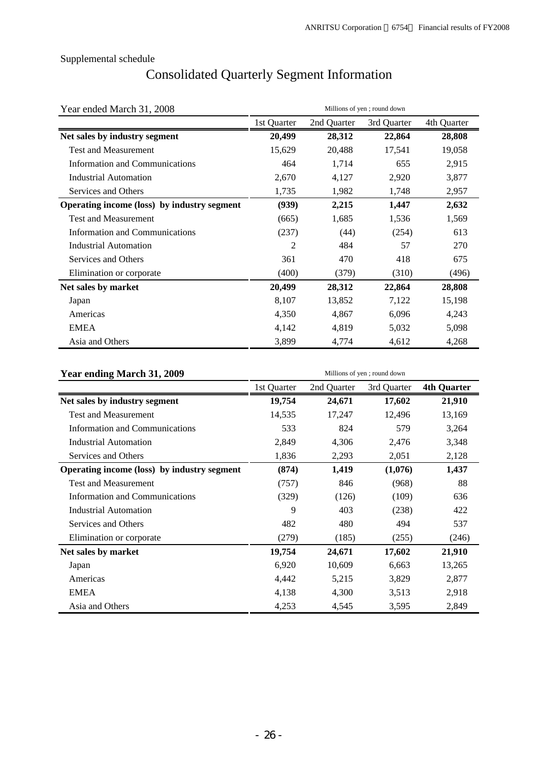# Consolidated Quarterly Segment Information

| Year ended March 31, 2008                   | Millions of yen; round down |             |             |             |  |  |
|---------------------------------------------|-----------------------------|-------------|-------------|-------------|--|--|
|                                             | 1st Quarter                 | 2nd Quarter | 3rd Quarter | 4th Quarter |  |  |
| Net sales by industry segment               | 20,499                      | 28,312      | 22,864      | 28,808      |  |  |
| <b>Test and Measurement</b>                 | 15,629                      | 20,488      | 17,541      | 19,058      |  |  |
| Information and Communications              | 464                         | 1,714       | 655         | 2,915       |  |  |
| <b>Industrial Automation</b>                | 2,670                       | 4,127       | 2,920       | 3,877       |  |  |
| Services and Others                         | 1,735                       | 1,982       | 1,748       | 2,957       |  |  |
| Operating income (loss) by industry segment | (939)                       | 2,215       | 1,447       | 2,632       |  |  |
| <b>Test and Measurement</b>                 | (665)                       | 1,685       | 1,536       | 1,569       |  |  |
| Information and Communications              | (237)                       | (44)        | (254)       | 613         |  |  |
| <b>Industrial Automation</b>                | 2                           | 484         | 57          | 270         |  |  |
| Services and Others                         | 361                         | 470         | 418         | 675         |  |  |
| Elimination or corporate                    | (400)                       | (379)       | (310)       | (496)       |  |  |
| Net sales by market                         | 20,499                      | 28,312      | 22,864      | 28,808      |  |  |
| Japan                                       | 8,107                       | 13,852      | 7,122       | 15,198      |  |  |
| Americas                                    | 4,350                       | 4,867       | 6,096       | 4,243       |  |  |
| <b>EMEA</b>                                 | 4,142                       | 4,819       | 5,032       | 5,098       |  |  |
| Asia and Others                             | 3,899                       | 4,774       | 4,612       | 4,268       |  |  |

| Year ending March 31, 2009                  | Millions of yen; round down |             |             |                    |  |  |
|---------------------------------------------|-----------------------------|-------------|-------------|--------------------|--|--|
|                                             | 1st Quarter                 | 2nd Quarter | 3rd Quarter | <b>4th Quarter</b> |  |  |
| Net sales by industry segment               | 19,754                      | 24,671      | 17,602      | 21,910             |  |  |
| <b>Test and Measurement</b>                 | 14,535                      | 17,247      | 12,496      | 13,169             |  |  |
| <b>Information and Communications</b>       | 533                         | 824         | 579         | 3,264              |  |  |
| <b>Industrial Automation</b>                | 2,849                       | 4,306       | 2,476       | 3,348              |  |  |
| Services and Others                         | 1,836                       | 2,293       | 2,051       | 2,128              |  |  |
| Operating income (loss) by industry segment | (874)                       | 1,419       | (1,076)     | 1,437              |  |  |
| <b>Test and Measurement</b>                 | (757)                       | 846         | (968)       | 88                 |  |  |
| Information and Communications              | (329)                       | (126)       | (109)       | 636                |  |  |
| Industrial Automation                       | 9                           | 403         | (238)       | 422                |  |  |
| Services and Others                         | 482                         | 480         | 494         | 537                |  |  |
| Elimination or corporate                    | (279)                       | (185)       | (255)       | (246)              |  |  |
| Net sales by market                         | 19,754                      | 24,671      | 17,602      | 21,910             |  |  |
| Japan                                       | 6,920                       | 10,609      | 6,663       | 13,265             |  |  |
| Americas                                    | 4,442                       | 5,215       | 3,829       | 2,877              |  |  |
| <b>EMEA</b>                                 | 4,138                       | 4,300       | 3,513       | 2,918              |  |  |
| Asia and Others                             | 4,253                       | 4,545       | 3,595       | 2,849              |  |  |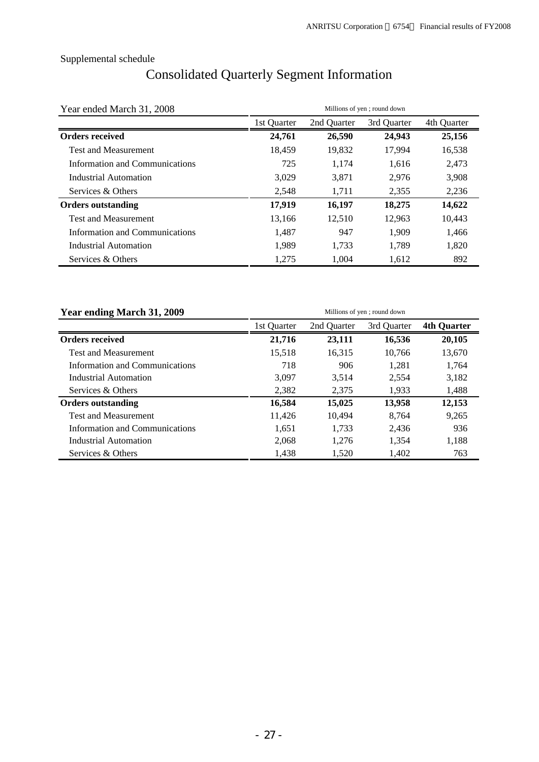# Consolidated Quarterly Segment Information

| Year ended March 31, 2008      |             | Millions of yen; round down |             |             |  |  |
|--------------------------------|-------------|-----------------------------|-------------|-------------|--|--|
|                                | 1st Quarter | 2nd Quarter                 | 3rd Quarter | 4th Quarter |  |  |
| <b>Orders received</b>         | 24,761      | 26,590                      | 24,943      | 25,156      |  |  |
| <b>Test and Measurement</b>    | 18,459      | 19,832                      | 17,994      | 16,538      |  |  |
| Information and Communications | 725         | 1,174                       | 1,616       | 2,473       |  |  |
| Industrial Automation          | 3,029       | 3,871                       | 2,976       | 3,908       |  |  |
| Services & Others              | 2,548       | 1,711                       | 2,355       | 2,236       |  |  |
| <b>Orders outstanding</b>      | 17,919      | 16,197                      | 18,275      | 14,622      |  |  |
| <b>Test and Measurement</b>    | 13,166      | 12,510                      | 12,963      | 10,443      |  |  |
| Information and Communications | 1,487       | 947                         | 1,909       | 1,466       |  |  |
| Industrial Automation          | 1,989       | 1,733                       | 1,789       | 1,820       |  |  |
| Services & Others              | 1,275       | 1,004                       | 1,612       | 892         |  |  |

| Year ending March 31, 2009     | Millions of yen; round down |             |             |                    |  |
|--------------------------------|-----------------------------|-------------|-------------|--------------------|--|
|                                | 1st Ouarter                 | 2nd Ouarter | 3rd Ouarter | <b>4th Quarter</b> |  |
| <b>Orders received</b>         | 21,716                      | 23,111      | 16,536      | 20,105             |  |
| <b>Test and Measurement</b>    | 15,518                      | 16,315      | 10,766      | 13,670             |  |
| Information and Communications | 718                         | 906         | 1.281       | 1,764              |  |
| Industrial Automation          | 3.097                       | 3,514       | 2.554       | 3,182              |  |
| Services & Others              | 2,382                       | 2,375       | 1.933       | 1,488              |  |
| <b>Orders outstanding</b>      | 16,584                      | 15,025      | 13,958      | 12,153             |  |
| <b>Test and Measurement</b>    | 11,426                      | 10,494      | 8.764       | 9,265              |  |
| Information and Communications | 1,651                       | 1,733       | 2,436       | 936                |  |
| Industrial Automation          | 2.068                       | 1.276       | 1.354       | 1,188              |  |
| Services & Others              | 1.438                       | 1,520       | 1,402       | 763                |  |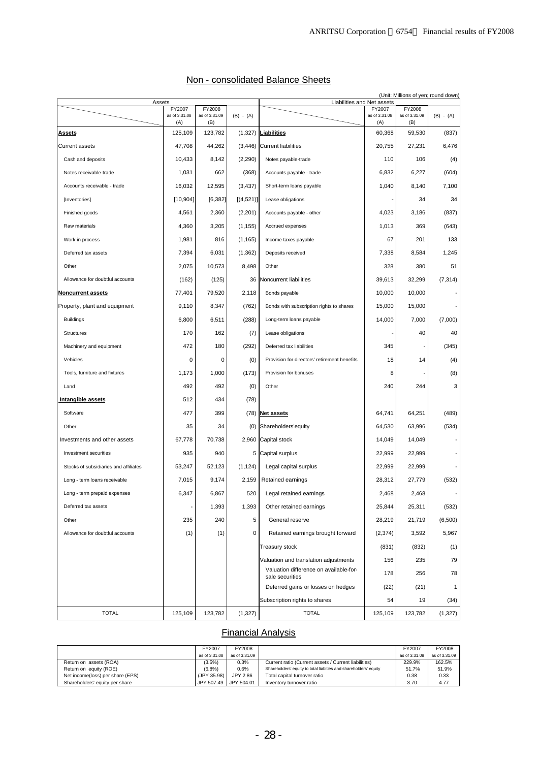|                                       |                      |                      |             |                                                           |                      | (Unit: Millions of yen; round down) |                          |
|---------------------------------------|----------------------|----------------------|-------------|-----------------------------------------------------------|----------------------|-------------------------------------|--------------------------|
| Assets                                | FY2007               | FY2008               |             | Liabilities and Net assets                                | FY2007               | FY2008                              |                          |
|                                       | as of 3.31.08<br>(A) | as of 3.31.09<br>(B) | $(B) - (A)$ |                                                           | as of 3.31.08<br>(A) | as of 3.31.09<br>(B)                | $(B) - (A)$              |
| <b>Assets</b>                         | 125,109              | 123,782              |             | $(1,327)$ Liabilities                                     | 60,368               | 59,530                              | (837)                    |
| <b>Current assets</b>                 | 47,708               | 44,262               |             | $(3,446)$ Current liabilities                             | 20.755               | 27,231                              | 6,476                    |
| Cash and deposits                     | 10,433               | 8,142                | (2,290)     | Notes payable-trade                                       | 110                  | 106                                 | (4)                      |
| Notes receivable-trade                | 1,031                | 662                  | (368)       | Accounts payable - trade                                  | 6,832                | 6,227                               | (604)                    |
| Accounts receivable - trade           | 16,032               | 12,595               | (3, 437)    | Short-term loans payable                                  | 1,040                | 8,140                               | 7,100                    |
| [Inventories]                         | [10, 904]            | [6, 382]             | [(4,521)]   | Lease obligations                                         |                      | 34                                  | 34                       |
| Finished goods                        | 4,561                | 2,360                | (2,201)     | Accounts payable - other                                  | 4,023                | 3,186                               | (837)                    |
| Raw materials                         | 4,360                | 3,205                | (1, 155)    | Accrued expenses                                          | 1,013                | 369                                 | (643)                    |
| Work in process                       | 1,981                | 816                  | (1, 165)    | Income taxes payable                                      | 67                   | 201                                 | 133                      |
| Deferred tax assets                   | 7,394                | 6,031                | (1, 362)    | Deposits received                                         | 7,338                | 8,584                               | 1,245                    |
| Other                                 | 2,075                | 10,573               | 8,498       | Other                                                     | 328                  | 380                                 | 51                       |
| Allowance for doubtful accounts       | (162)                | (125)                | 36          | Noncurrent liabilities                                    | 39,613               | 32,299                              | (7, 314)                 |
| <b>Noncurrent assets</b>              | 77,401               | 79,520               | 2,118       | Bonds payable                                             | 10,000               | 10,000                              |                          |
| Property, plant and equipment         | 9,110                | 8,347                | (762)       | Bonds with subscription rights to shares                  | 15,000               | 15,000                              | $\overline{\phantom{a}}$ |
| <b>Buildings</b>                      | 6,800                | 6,511                | (288)       | Long-term loans payable                                   | 14.000               | 7,000                               | (7,000)                  |
| Structures                            | 170                  | 162                  | (7)         | Lease obligations                                         |                      | 40                                  | 40                       |
| Machinery and equipment               | 472                  | 180                  | (292)       | Deferred tax liabilities                                  | 345                  |                                     | (345)                    |
| Vehicles                              | 0                    | 0                    | (0)         | Provision for directors' retirement benefits              | 18                   | 14                                  | (4)                      |
| Tools, furniture and fixtures         | 1,173                | 1,000                | (173)       | Provision for bonuses                                     | 8                    |                                     | (8)                      |
| Land                                  | 492                  | 492                  | (0)         | Other                                                     | 240                  | 244                                 | 3                        |
| Intangible assets                     | 512                  | 434                  | (78)        |                                                           |                      |                                     |                          |
| Software                              | 477                  | 399                  |             | $(78)$ Net assets                                         | 64,741               | 64,251                              | (489)                    |
| Other                                 | 35                   | 34                   | (0)         | Shareholders'equity                                       | 64,530               | 63,996                              | (534)                    |
| Investments and other assets          | 67,778               | 70,738               |             | 2,960 Capital stock                                       | 14,049               | 14,049                              | $\overline{\phantom{a}}$ |
| Investment securities                 | 935                  | 940                  | 5           | Capital surplus                                           | 22,999               | 22,999                              |                          |
| Stocks of subsidiaries and affiliates | 53,247               | 52,123               | (1, 124)    | Legal capital surplus                                     | 22,999               | 22,999                              | $\overline{\phantom{a}}$ |
| Long - term loans receivable          | 7,015                | 9,174                | 2,159       | Retained earnings                                         | 28,312               | 27,779                              | (532)                    |
| Long - term prepaid expenses          | 6,347                | 6,867                | 520         | Legal retained earnings                                   | 2,468                | 2,468                               |                          |
| Deferred tax assets                   |                      | 1,393                | 1,393       | Other retained earnings                                   | 25,844               | 25,311                              | (532)                    |
| Other                                 | 235                  | 240                  | 5           | General reserve                                           | 28,219               | 21,719                              | (6,500)                  |
| Allowance for doubtful accounts       | (1)                  | (1)                  | 0           | Retained earnings brought forward                         | (2, 374)             | 3,592                               | 5,967                    |
|                                       |                      |                      |             | <b>Treasury stock</b>                                     | (831)                | (832)                               | (1)                      |
|                                       |                      |                      |             | Valuation and translation adjustments                     | 156                  | 235                                 | 79                       |
|                                       |                      |                      |             | Valuation difference on available-for-<br>sale securities | 178                  | 256                                 | 78                       |
|                                       |                      |                      |             | Deferred gains or losses on hedges                        | (22)                 | (21)                                | 1                        |
|                                       |                      |                      |             | Subscription rights to shares                             | 54                   | 19                                  | (34)                     |
| <b>TOTAL</b>                          | 125,109              | 123,782              | (1,327)     | <b>TOTAL</b>                                              | 125,109              | 123,782                             | (1,327)                  |

# Non - consolidated Balance Sheets

# Financial Analysis

|                                  | FY2007        | FY2008                |                                                                  | FY2007        | FY2008        |
|----------------------------------|---------------|-----------------------|------------------------------------------------------------------|---------------|---------------|
|                                  | as of 3.31.08 | as of 3.31.09         |                                                                  | as of 3.31.08 | as of 3.31.09 |
| Return on assets (ROA)           | $(3.5\%)$     | 0.3%                  | Current ratio (Current assets / Current liabilities)             | 229.9%        | 162.5%        |
| Return on equity (ROE)           | (6.8%)        | 0.6%                  | Shareholders' equity to total liabities and shareholders' equity | 51.7%         | 51.9%         |
| Net income(loss) per share (EPS) | (JPY 35.98)   | JPY 2.86              | Total capital turnover ratio                                     | 0.38          | 0.33          |
| Shareholders' equity per share   |               | JPY 507.49 JPY 504.01 | Inventory turnover ratio                                         | 3.70          | 4.77          |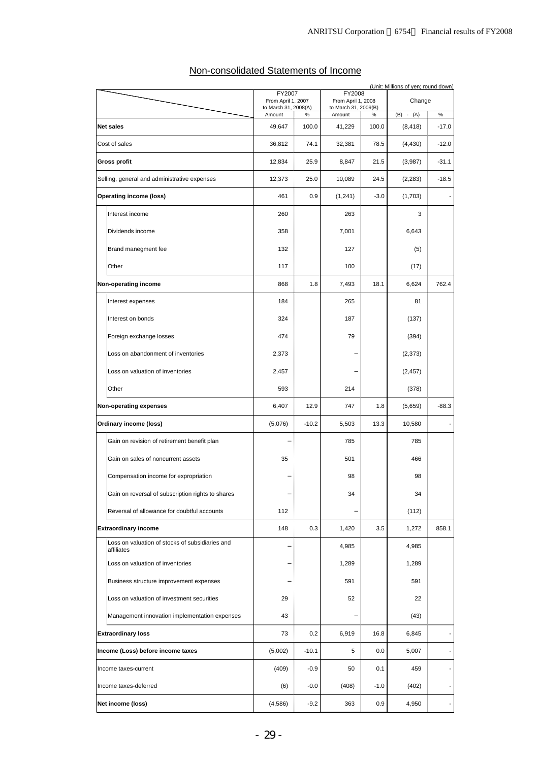# Non-consolidated Statements of Income

|                                                               |                                |         |                                |         | (Unit: Millions of yen; round down) |                          |
|---------------------------------------------------------------|--------------------------------|---------|--------------------------------|---------|-------------------------------------|--------------------------|
|                                                               | FY2007<br>From April 1, 2007   |         | FY2008<br>From April 1, 2008   |         | Change                              |                          |
|                                                               | to March 31, 2008(A)<br>Amount | %       | to March 31, 2009(B)<br>Amount | $\%$    | $(B) - (A)$                         | $\%$                     |
| <b>Net sales</b>                                              | 49,647                         | 100.0   | 41,229                         | 100.0   | (8, 418)                            | $-17.0$                  |
| Cost of sales                                                 | 36,812                         | 74.1    | 32,381                         | 78.5    | (4, 430)                            | $-12.0$                  |
| Gross profit                                                  | 12,834                         | 25.9    | 8,847                          | 21.5    | (3,987)                             | $-31.1$                  |
| Selling, general and administrative expenses                  | 12,373                         | 25.0    | 10,089                         | 24.5    | (2, 283)                            | $-18.5$                  |
| <b>Operating income (loss)</b>                                | 461                            | 0.9     | (1,241)                        | $-3.0$  | (1,703)                             |                          |
| Interest income                                               | 260                            |         | 263                            |         | 3                                   |                          |
| Dividends income                                              | 358                            |         | 7,001                          |         | 6,643                               |                          |
| Brand manegment fee                                           | 132                            |         | 127                            |         | (5)                                 |                          |
| Other                                                         | 117                            |         | 100                            |         | (17)                                |                          |
| Non-operating income                                          | 868                            | 1.8     | 7,493                          | 18.1    | 6,624                               | 762.4                    |
| Interest expenses                                             | 184                            |         | 265                            |         | 81                                  |                          |
| Interest on bonds                                             | 324                            |         | 187                            |         | (137)                               |                          |
| Foreign exchange losses                                       | 474                            |         | 79                             |         | (394)                               |                          |
| Loss on abandonment of inventories                            | 2,373                          |         |                                |         | (2, 373)                            |                          |
| Loss on valuation of inventories                              | 2,457                          |         |                                |         | (2, 457)                            |                          |
| Other                                                         | 593                            |         | 214                            |         | (378)                               |                          |
| Non-operating expenses                                        | 6,407                          | 12.9    | 747                            | 1.8     | (5,659)                             | $-88.3$                  |
| Ordinary income (loss)                                        | (5,076)                        | $-10.2$ | 5,503                          | 13.3    | 10,580                              |                          |
| Gain on revision of retirement benefit plan                   |                                |         | 785                            |         | 785                                 |                          |
| Gain on sales of noncurrent assets                            | 35                             |         | 501                            |         | 466                                 |                          |
| Compensation income for expropriation                         |                                |         | 98                             |         | 98                                  |                          |
| Gain on reversal of subscription rights to shares             |                                |         | 34                             |         | 34                                  |                          |
| Reversal of allowance for doubtful accounts                   | 112                            |         |                                |         | (112)                               |                          |
| <b>Extraordinary income</b>                                   | 148                            | 0.3     | 1,420                          | 3.5     | 1,272                               | 858.1                    |
| Loss on valuation of stocks of subsidiaries and<br>affiliates |                                |         | 4,985                          |         | 4,985                               |                          |
| Loss on valuation of inventories                              |                                |         | 1,289                          |         | 1,289                               |                          |
| Business structure improvement expenses                       |                                |         | 591                            |         | 591                                 |                          |
| Loss on valuation of investment securities                    | 29                             |         | 52                             |         | 22                                  |                          |
| Management innovation implementation expenses                 | 43                             |         |                                |         | (43)                                |                          |
| <b>Extraordinary loss</b>                                     | 73                             | 0.2     | 6,919                          | 16.8    | 6,845                               |                          |
| Income (Loss) before income taxes                             | (5,002)                        | $-10.1$ | 5                              | $0.0\,$ | 5,007                               | $\overline{\phantom{0}}$ |
| Income taxes-current                                          | (409)                          | $-0.9$  | 50                             | 0.1     | 459                                 | $\overline{\phantom{0}}$ |
| Income taxes-deferred                                         | (6)                            | $-0.0$  | (408)                          | $-1.0$  | (402)                               | $\overline{\phantom{a}}$ |
| Net income (loss)                                             | (4, 586)                       | $-9.2$  | 363                            | 0.9     | 4,950                               | $\frac{1}{2}$            |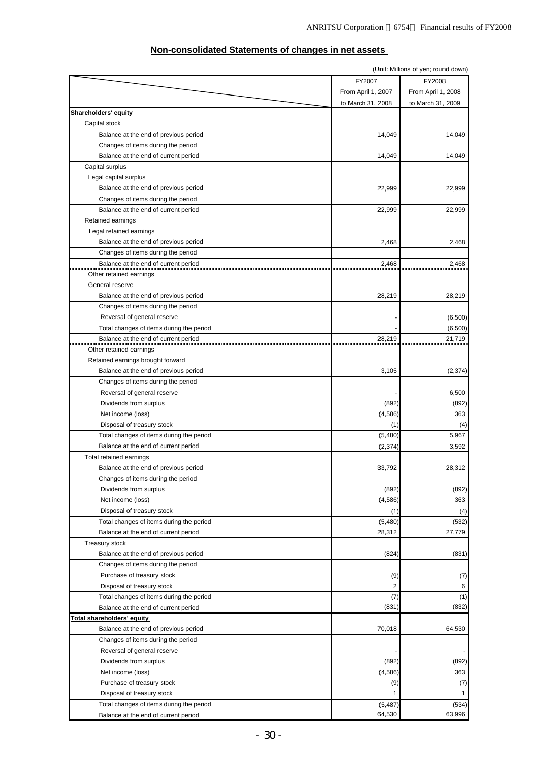|                                          |                    | (Unit: Millions of yen; round down) |
|------------------------------------------|--------------------|-------------------------------------|
|                                          | FY2007             | FY2008                              |
|                                          | From April 1, 2007 | From April 1, 2008                  |
|                                          | to March 31, 2008  | to March 31, 2009                   |
| <u>Shareholders' equity</u>              |                    |                                     |
| Capital stock                            |                    |                                     |
| Balance at the end of previous period    | 14,049             | 14,049                              |
| Changes of items during the period       |                    |                                     |
| Balance at the end of current period     | 14,049             | 14,049                              |
| Capital surplus                          |                    |                                     |
| Legal capital surplus                    |                    |                                     |
| Balance at the end of previous period    | 22,999             | 22,999                              |
| Changes of items during the period       |                    |                                     |
| Balance at the end of current period     | 22,999             | 22,999                              |
| Retained earnings                        |                    |                                     |
| Legal retained earnings                  |                    |                                     |
|                                          |                    |                                     |
| Balance at the end of previous period    | 2,468              | 2,468                               |
| Changes of items during the period       |                    |                                     |
| Balance at the end of current period     | 2,468              | 2,468                               |
| Other retained earnings                  |                    |                                     |
| General reserve                          |                    |                                     |
| Balance at the end of previous period    | 28,219             | 28,219                              |
| Changes of items during the period       |                    |                                     |
| Reversal of general reserve              |                    | (6,500)                             |
| Total changes of items during the period |                    | (6,500)                             |
| Balance at the end of current period     | 28,219             | 21,719                              |
| Other retained earnings                  |                    |                                     |
| Retained earnings brought forward        |                    |                                     |
| Balance at the end of previous period    | 3,105              | (2, 374)                            |
| Changes of items during the period       |                    |                                     |
| Reversal of general reserve              |                    | 6,500                               |
| Dividends from surplus                   | (892)              | (892)                               |
| Net income (loss)                        | (4,586)            | 363                                 |
| Disposal of treasury stock               | (1)                | (4)                                 |
| Total changes of items during the period | (5,480)            | 5,967                               |
| Balance at the end of current period     | (2, 374)           | 3,592                               |
| Total retained earnings                  |                    |                                     |
| Balance at the end of previous period    | 33,792             | 28,312                              |
| Changes of items during the period       |                    |                                     |
| Dividends from surplus                   | (892)              | (892)                               |
| Net income (loss)                        | (4,586)            | 363                                 |
| Disposal of treasury stock               | (1)                | (4)                                 |
| Total changes of items during the period | (5,480)            | (532)                               |
| Balance at the end of current period     | 28,312             | 27,779                              |
| <b>Treasury stock</b>                    |                    |                                     |
|                                          |                    |                                     |
| Balance at the end of previous period    | (824)              | (831)                               |
| Changes of items during the period       |                    |                                     |
| Purchase of treasury stock               | (9)                | (7)<br>6                            |
| Disposal of treasury stock               | 2                  |                                     |
| Total changes of items during the period | (7)                | (1)                                 |
| Balance at the end of current period     | (831)              | (832)                               |
| <b>Total shareholders' equity</b>        |                    |                                     |
| Balance at the end of previous period    | 70,018             | 64,530                              |
| Changes of items during the period       |                    |                                     |
| Reversal of general reserve              |                    |                                     |
| Dividends from surplus                   | (892)              | (892)                               |
| Net income (loss)                        | (4,586)            | 363                                 |
| Purchase of treasury stock               | (9)                | (7)                                 |
| Disposal of treasury stock               | 1                  |                                     |
| Total changes of items during the period | (5, 487)           | (534)                               |
| Balance at the end of current period     | 64,530             | 63,996                              |

## **Non-consolidated Statements of changes in net assets**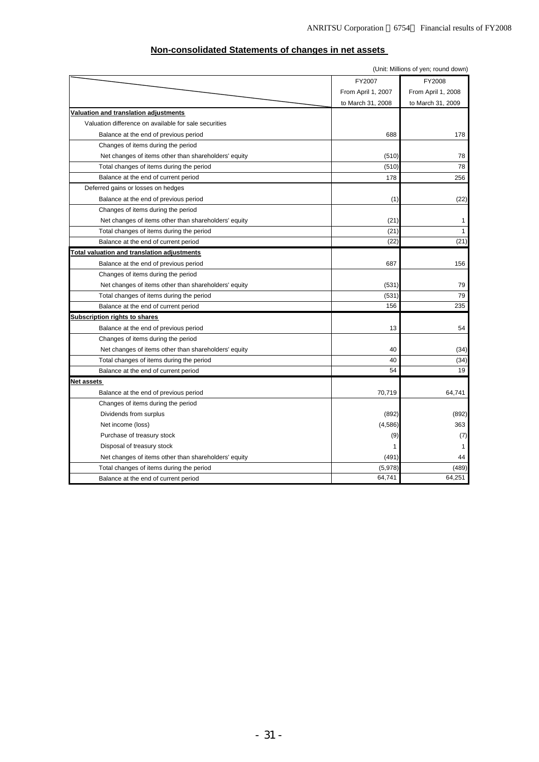| (Unit: Millions of yen; round down)                   |                    |                    |  |  |  |
|-------------------------------------------------------|--------------------|--------------------|--|--|--|
|                                                       | FY2007             | FY2008             |  |  |  |
|                                                       | From April 1, 2007 | From April 1, 2008 |  |  |  |
|                                                       | to March 31, 2008  | to March 31, 2009  |  |  |  |
| Valuation and translation adjustments                 |                    |                    |  |  |  |
| Valuation difference on available for sale securities |                    |                    |  |  |  |
| Balance at the end of previous period                 | 688                | 178                |  |  |  |
| Changes of items during the period                    |                    |                    |  |  |  |
| Net changes of items other than shareholders' equity  | (510)              | 78                 |  |  |  |
| Total changes of items during the period              | (510)              | 78                 |  |  |  |
| Balance at the end of current period                  | 178                | 256                |  |  |  |
| Deferred gains or losses on hedges                    |                    |                    |  |  |  |
| Balance at the end of previous period                 | (1)                | (22)               |  |  |  |
| Changes of items during the period                    |                    |                    |  |  |  |
| Net changes of items other than shareholders' equity  | (21)               | 1                  |  |  |  |
| Total changes of items during the period              | (21)               | 1                  |  |  |  |
| Balance at the end of current period                  | (22)               | (21)               |  |  |  |
| <b>Total valuation and translation adjustments</b>    |                    |                    |  |  |  |
| Balance at the end of previous period                 | 687                | 156                |  |  |  |
| Changes of items during the period                    |                    |                    |  |  |  |
| Net changes of items other than shareholders' equity  | (531)              | 79                 |  |  |  |
| Total changes of items during the period              | (531)              | 79                 |  |  |  |
| Balance at the end of current period                  | 156                | 235                |  |  |  |
| <b>Subscription rights to shares</b>                  |                    |                    |  |  |  |
| Balance at the end of previous period                 | 13                 | 54                 |  |  |  |
| Changes of items during the period                    |                    |                    |  |  |  |
| Net changes of items other than shareholders' equity  | 40                 | (34)               |  |  |  |
| Total changes of items during the period              | 40                 | (34)               |  |  |  |
| Balance at the end of current period                  | 54                 | 19                 |  |  |  |
| Net assets                                            |                    |                    |  |  |  |
| Balance at the end of previous period                 | 70,719             | 64,741             |  |  |  |
| Changes of items during the period                    |                    |                    |  |  |  |
| Dividends from surplus                                | (892)              | (892)              |  |  |  |
| Net income (loss)                                     | (4, 586)           | 363                |  |  |  |
| Purchase of treasury stock                            | (9)                | (7)                |  |  |  |
| Disposal of treasury stock                            | 1                  | 1                  |  |  |  |
| Net changes of items other than shareholders' equity  | (491)              | 44                 |  |  |  |
| Total changes of items during the period              | (5,978)            | (489)              |  |  |  |
| Balance at the end of current period                  | 64,741             | 64,251             |  |  |  |

## **Non-consolidated Statements of changes in net assets**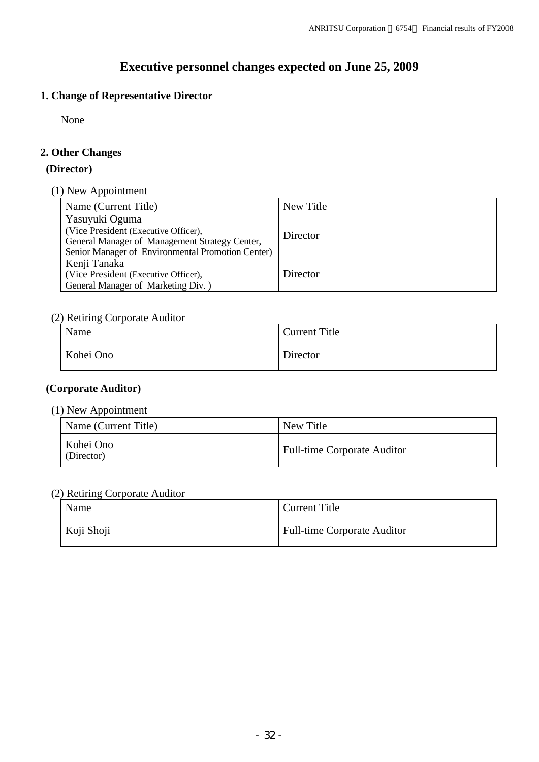# **Executive personnel changes expected on June 25, 2009**

# **1. Change of Representative Director**

None

# **2. Other Changes**

## **(Director)**

(1) New Appointment

| Name (Current Title)                              | New Title |  |  |
|---------------------------------------------------|-----------|--|--|
| Yasuyuki Oguma                                    |           |  |  |
| (Vice President (Executive Officer),              | Director  |  |  |
| General Manager of Management Strategy Center,    |           |  |  |
| Senior Manager of Environmental Promotion Center) |           |  |  |
| Kenji Tanaka                                      |           |  |  |
| (Vice President (Executive Officer),              | Director  |  |  |
| General Manager of Marketing Div.)                |           |  |  |

# (2) Retiring Corporate Auditor

| Name      | Current Title |
|-----------|---------------|
| Kohei Ono | Director      |

# **(Corporate Auditor)**

# (1) New Appointment

| Name (Current Title)    | New Title                          |
|-------------------------|------------------------------------|
| Kohei Ono<br>(Director) | <b>Full-time Corporate Auditor</b> |

# (2) Retiring Corporate Auditor

| Name       | Current Title                      |
|------------|------------------------------------|
| Koji Shoji | <b>Full-time Corporate Auditor</b> |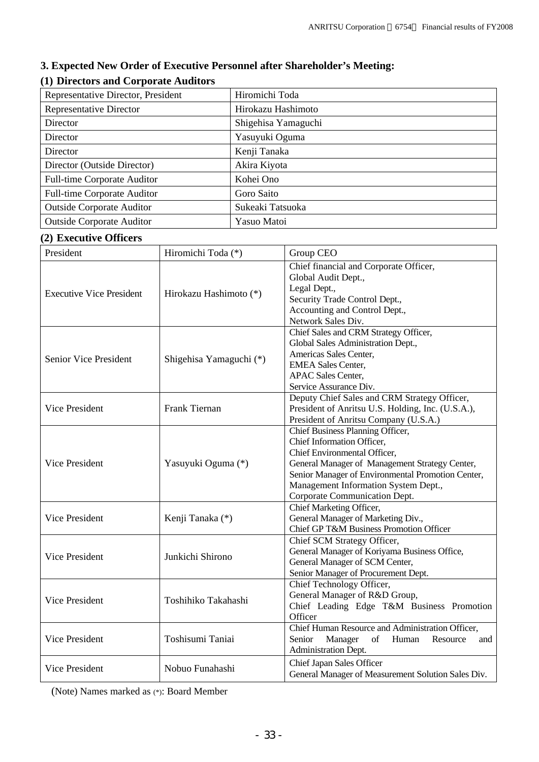# **3. Expected New Order of Executive Personnel after Shareholder's Meeting:**

# **(1) Directors and Corporate Auditors**

| Representative Director, President | Hiromichi Toda      |
|------------------------------------|---------------------|
| Representative Director            | Hirokazu Hashimoto  |
| Director                           | Shigehisa Yamaguchi |
| Director                           | Yasuyuki Oguma      |
| Director                           | Kenji Tanaka        |
| Director (Outside Director)        | Akira Kiyota        |
| <b>Full-time Corporate Auditor</b> | Kohei Ono           |
| <b>Full-time Corporate Auditor</b> | Goro Saito          |
| <b>Outside Corporate Auditor</b>   | Sukeaki Tatsuoka    |
| <b>Outside Corporate Auditor</b>   | Yasuo Matoi         |

# **(2) Executive Officers**

| President                                               | Hiromichi Toda (*)     | Group CEO                                                                                                                                                                                                                                                                      |  |  |
|---------------------------------------------------------|------------------------|--------------------------------------------------------------------------------------------------------------------------------------------------------------------------------------------------------------------------------------------------------------------------------|--|--|
| <b>Executive Vice President</b>                         | Hirokazu Hashimoto (*) | Chief financial and Corporate Officer,<br>Global Audit Dept.,<br>Legal Dept.,<br>Security Trade Control Dept.,<br>Accounting and Control Dept.,<br>Network Sales Div.                                                                                                          |  |  |
| <b>Senior Vice President</b><br>Shigehisa Yamaguchi (*) |                        | Chief Sales and CRM Strategy Officer,<br>Global Sales Administration Dept.,<br>Americas Sales Center,<br><b>EMEA Sales Center,</b><br><b>APAC Sales Center,</b><br>Service Assurance Div.                                                                                      |  |  |
| Vice President                                          | Frank Tiernan          | Deputy Chief Sales and CRM Strategy Officer,<br>President of Anritsu U.S. Holding, Inc. (U.S.A.),<br>President of Anritsu Company (U.S.A.)                                                                                                                                     |  |  |
| Vice President                                          | Yasuyuki Oguma (*)     | Chief Business Planning Officer,<br>Chief Information Officer,<br>Chief Environmental Officer,<br>General Manager of Management Strategy Center,<br>Senior Manager of Environmental Promotion Center,<br>Management Information System Dept.,<br>Corporate Communication Dept. |  |  |
| Vice President                                          | Kenji Tanaka (*)       | Chief Marketing Officer,<br>General Manager of Marketing Div.,<br>Chief GP T&M Business Promotion Officer                                                                                                                                                                      |  |  |
| Vice President                                          | Junkichi Shirono       | Chief SCM Strategy Officer,<br>General Manager of Koriyama Business Office,<br>General Manager of SCM Center,<br>Senior Manager of Procurement Dept.                                                                                                                           |  |  |
| Vice President                                          | Toshihiko Takahashi    | Chief Technology Officer,<br>General Manager of R&D Group,<br>Chief Leading Edge T&M Business Promotion<br>Officer                                                                                                                                                             |  |  |
| Vice President                                          | Toshisumi Taniai       | Chief Human Resource and Administration Officer,<br>Manager<br>Senior<br>of<br>Human<br>Resource<br>and<br>Administration Dept.                                                                                                                                                |  |  |
| Vice President                                          | Nobuo Funahashi        | Chief Japan Sales Officer<br>General Manager of Measurement Solution Sales Div.                                                                                                                                                                                                |  |  |

(Note) Names marked as (\*): Board Member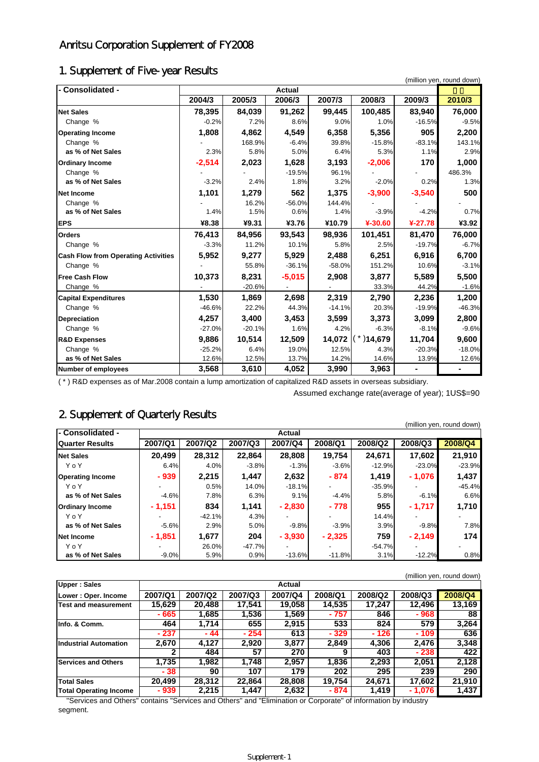# Anritsu Corporation Supplement of FY2008

# 1. Supplement of Five-year Results

| - Consolidated -                           |          |          | <b>Actual</b> |          |              |           |          |
|--------------------------------------------|----------|----------|---------------|----------|--------------|-----------|----------|
|                                            | 2004/3   | 2005/3   | 2006/3        | 2007/3   | 2008/3       | 2009/3    | 2010/3   |
| <b>Net Sales</b>                           | 78,395   | 84,039   | 91,262        | 99,445   | 100,485      | 83,940    | 76,000   |
| Change %                                   | $-0.2%$  | 7.2%     | 8.6%          | 9.0%     | 1.0%         | $-16.5%$  | $-9.5%$  |
| <b>Operating Income</b>                    | 1,808    | 4,862    | 4,549         | 6,358    | 5,356        | 905       | 2,200    |
| Change %                                   |          | 168.9%   | $-6.4%$       | 39.8%    | $-15.8%$     | $-83.1%$  | 143.1%   |
| as % of Net Sales                          | 2.3%     | 5.8%     | 5.0%          | 6.4%     | 5.3%         | 1.1%      | 2.9%     |
| <b>Ordinary Income</b>                     | $-2,514$ | 2,023    | 1,628         | 3,193    | $-2,006$     | 170       | 1,000    |
| Change %                                   |          |          | $-19.5%$      | 96.1%    |              |           | 486.3%   |
| as % of Net Sales                          | $-3.2%$  | 2.4%     | 1.8%          | 3.2%     | $-2.0%$      | 0.2%      | 1.3%     |
| Net Income                                 | 1,101    | 1,279    | 562           | 1,375    | $-3,900$     | $-3,540$  | 500      |
| Change %                                   |          | 16.2%    | $-56.0%$      | 144.4%   |              |           |          |
| as % of Net Sales                          | 1.4%     | 1.5%     | 0.6%          | 1.4%     | $-3.9%$      | $-4.2%$   | 0.7%     |
| <b>EPS</b>                                 | ¥8.38    | ¥9.31    | ¥3.76         | ¥10.79   | ¥-30.60      | $4-27.78$ | ¥3.92    |
| <b>Orders</b>                              | 76,413   | 84,956   | 93,543        | 98,936   | 101,451      | 81,470    | 76,000   |
| Change %                                   | $-3.3%$  | 11.2%    | 10.1%         | 5.8%     | 2.5%         | $-19.7%$  | $-6.7%$  |
| <b>Cash Flow from Operating Activities</b> | 5,952    | 9,277    | 5,929         | 2,488    | 6,251        | 6,916     | 6,700    |
| Change %                                   |          | 55.8%    | $-36.1%$      | $-58.0%$ | 151.2%       | 10.6%     | $-3.1%$  |
| <b>Free Cash Flow</b>                      | 10,373   | 8,231    | $-5,015$      | 2,908    | 3,877        | 5,589     | 5,500    |
| Change %                                   |          | $-20.6%$ |               |          | 33.3%        | 44.2%     | $-1.6%$  |
| <b>Capital Expenditures</b>                | 1,530    | 1,869    | 2,698         | 2,319    | 2,790        | 2,236     | 1,200    |
| Change %                                   | $-46.6%$ | 22.2%    | 44.3%         | $-14.1%$ | 20.3%        | $-19.9%$  | $-46.3%$ |
| Depreciation                               | 4,257    | 3,400    | 3,453         | 3,599    | 3,373        | 3,099     | 2,800    |
| Change %                                   | $-27.0%$ | $-20.1%$ | 1.6%          | 4.2%     | $-6.3%$      | $-8.1%$   | $-9.6%$  |
| <b>R&amp;D Expenses</b>                    | 9,886    | 10,514   | 12,509        | 14,072   | $*$ ) 14,679 | 11,704    | 9,600    |
| Change %                                   | $-25.2%$ | 6.4%     | 19.0%         | 12.5%    | 4.3%         | $-20.3%$  | $-18.0%$ |
| as % of Net Sales                          | 12.6%    | 12.5%    | 13.7%         | 14.2%    | 14.6%        | 13.9%     | 12.6%    |
| Number of employees                        | 3,568    | 3,610    | 4,052         | 3,990    | 3,963        |           |          |

( \* ) R&D expenses as of Mar.2008 contain a lump amortization of capitalized R&D assets in overseas subsidiary.

Assumed exchange rate(average of year); 1US\$=90

# 2. Supplement of Quarterly Results

|                         |          |          |          |               |          |          |                          | (million yen, round down) |
|-------------------------|----------|----------|----------|---------------|----------|----------|--------------------------|---------------------------|
| l- Consolidated -       |          |          |          | <b>Actual</b> |          |          |                          |                           |
| <b>Quarter Results</b>  | 2007/Q1  | 2007/Q2  | 2007/Q3  | 2007/Q4       | 2008/Q1  | 2008/Q2  | 2008/Q3                  | 2008/Q4                   |
| <b>Net Sales</b>        | 20.499   | 28.312   | 22.864   | 28,808        | 19,754   | 24,671   | 17.602                   | 21,910                    |
| YoY                     | 6.4%     | 4.0%     | $-3.8%$  | $-1.3%$       | $-3.6%$  | $-12.9%$ | $-23.0%$                 | $-23.9%$                  |
| <b>Operating Income</b> | $-939$   | 2.215    | 1.447    | 2,632         | $-874$   | 1,419    | $-1,076$                 | 1,437                     |
| YoY                     |          | 0.5%     | 14.0%    | $-18.1%$      | -        | $-35.9%$ | -                        | $-45.4%$                  |
| as % of Net Sales       | $-4.6%$  | 7.8%     | 6.3%     | 9.1%          | $-4.4%$  | 5.8%     | $-6.1%$                  | 6.6%                      |
| <b>Ordinary Income</b>  | $-1,151$ | 834      | 1.141    | $-2,830$      | $-778$   | 955      | - 1,717                  | 1,710                     |
| YoY                     |          | $-42.1%$ | 4.3%     |               |          | 14.4%    | $\overline{\phantom{0}}$ |                           |
| as % of Net Sales       | $-5.6%$  | 2.9%     | 5.0%     | $-9.8%$       | $-3.9%$  | 3.9%     | $-9.8%$                  | 7.8%                      |
| <b>Net Income</b>       | $-1,851$ | 1.677    | 204      | $-3,930$      | $-2,325$ | 759      | $-2,149$                 | 174                       |
| YoY                     |          | 26.0%    | $-47.7%$ |               |          | $-54.7%$ |                          |                           |
| as % of Net Sales       | $-9.0%$  | 5.9%     | 0.9%     | $-13.6%$      | $-11.8%$ | 3.1%     | $-12.2%$                 | 0.8%                      |

|                               |         |         |         |         |         |         |         | (million yen, round down) |  |  |
|-------------------------------|---------|---------|---------|---------|---------|---------|---------|---------------------------|--|--|
| <b>Upper: Sales</b>           | Actual  |         |         |         |         |         |         |                           |  |  |
| Lower: Oper. Income           | 2007/Q1 | 2007/Q2 | 2007/Q3 | 2007/Q4 | 2008/Q1 | 2008/Q2 | 2008/Q3 | 2008/Q4                   |  |  |
| Test and measurement          | 15.629  | 20.488  | 17.541  | 19.058  | 14,535  | 17.247  | 12.496  | 13.169                    |  |  |
|                               | - 665   | 1,685   | 1,536   | 1,569   | - 757   | 846     | - 968   | 88                        |  |  |
| Info. & Comm.                 | 464     | 1.714   | 655     | 2,915   | 533     | 824     | 579     | 3,264                     |  |  |
|                               | $-237$  | $-44$   | $-254$  | 613     | $-329$  | $-126$  | - 109   | 636                       |  |  |
| <b>Industrial Automation</b>  | 2,670   | 4.127   | 2,920   | 3,877   | 2,849   | 4,306   | 2.476   | 3,348                     |  |  |
|                               | 2       | 484     | 57      | 270     | 9       | 403     | $-238$  | 422                       |  |  |
| <b>Services and Others</b>    | 1.735   | 1.982   | 1.748   | 2.957   | 1.836   | 2.293   | 2,051   | 2.128                     |  |  |
|                               | - 38    | 90      | 107     | 179     | 202     | 295     | 239     | 290                       |  |  |
| <b>Total Sales</b>            | 20,499  | 28.312  | 22,864  | 28,808  | 19.754  | 24,671  | 17.602  | 21,910                    |  |  |
| <b>Total Operating Income</b> | - 939   | 2.215   | 1.447   | 2,632   | - 874   | 1.419   | - 1,076 | 1.437                     |  |  |

 "Services and Others" contains "Services and Others" and "Elimination or Corporate" of information by industry segment.

#### Supplement-1